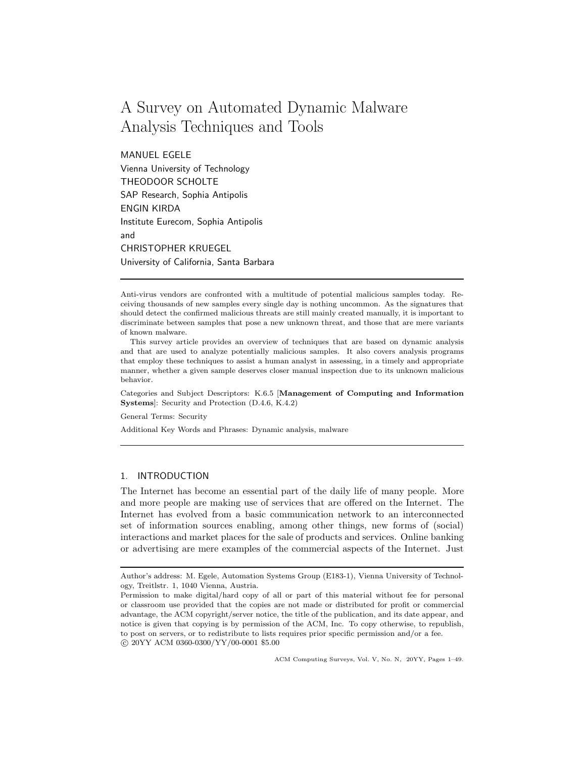# A Survey on Automated Dynamic Malware Analysis Techniques and Tools

MANUEL EGELE Vienna University of Technology THEODOOR SCHOLTE SAP Research, Sophia Antipolis ENGIN KIRDA Institute Eurecom, Sophia Antipolis and CHRISTOPHER KRUEGEL University of California, Santa Barbara

Anti-virus vendors are confronted with a multitude of potential malicious samples today. Receiving thousands of new samples every single day is nothing uncommon. As the signatures that should detect the confirmed malicious threats are still mainly created manually, it is important to discriminate between samples that pose a new unknown threat, and those that are mere variants of known malware.

This survey article provides an overview of techniques that are based on dynamic analysis and that are used to analyze potentially malicious samples. It also covers analysis programs that employ these techniques to assist a human analyst in assessing, in a timely and appropriate manner, whether a given sample deserves closer manual inspection due to its unknown malicious behavior.

Categories and Subject Descriptors: K.6.5 [Management of Computing and Information Systems]: Security and Protection (D.4.6, K.4.2)

General Terms: Security

Additional Key Words and Phrases: Dynamic analysis, malware

# 1. INTRODUCTION

The Internet has become an essential part of the daily life of many people. More and more people are making use of services that are offered on the Internet. The Internet has evolved from a basic communication network to an interconnected set of information sources enabling, among other things, new forms of (social) interactions and market places for the sale of products and services. Online banking or advertising are mere examples of the commercial aspects of the Internet. Just

Author's address: M. Egele, Automation Systems Group (E183-1), Vienna University of Technology, Treitlstr. 1, 1040 Vienna, Austria.

Permission to make digital/hard copy of all or part of this material without fee for personal or classroom use provided that the copies are not made or distributed for profit or commercial advantage, the ACM copyright/server notice, the title of the publication, and its date appear, and notice is given that copying is by permission of the ACM, Inc. To copy otherwise, to republish, to post on servers, or to redistribute to lists requires prior specific permission and/or a fee. c 20YY ACM 0360-0300/YY/00-0001 \$5.00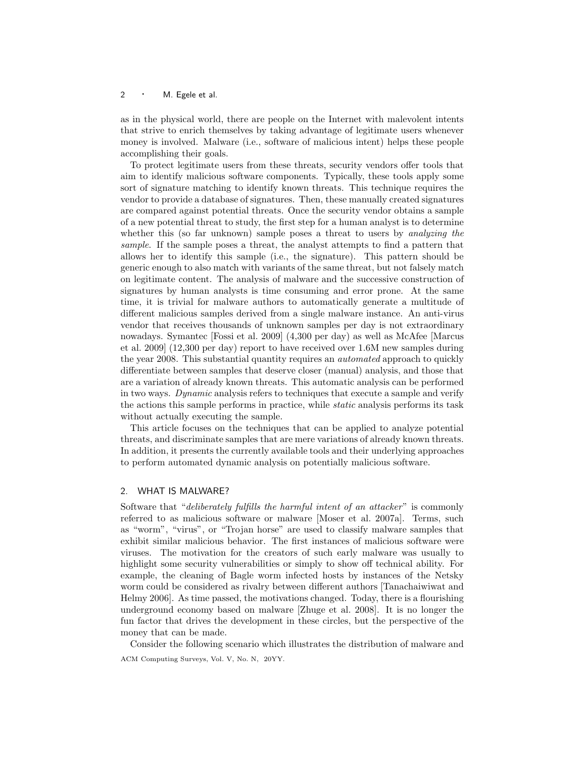as in the physical world, there are people on the Internet with malevolent intents that strive to enrich themselves by taking advantage of legitimate users whenever money is involved. Malware (i.e., software of malicious intent) helps these people accomplishing their goals.

To protect legitimate users from these threats, security vendors offer tools that aim to identify malicious software components. Typically, these tools apply some sort of signature matching to identify known threats. This technique requires the vendor to provide a database of signatures. Then, these manually created signatures are compared against potential threats. Once the security vendor obtains a sample of a new potential threat to study, the first step for a human analyst is to determine whether this (so far unknown) sample poses a threat to users by *analyzing the sample*. If the sample poses a threat, the analyst attempts to find a pattern that allows her to identify this sample (i.e., the signature). This pattern should be generic enough to also match with variants of the same threat, but not falsely match on legitimate content. The analysis of malware and the successive construction of signatures by human analysts is time consuming and error prone. At the same time, it is trivial for malware authors to automatically generate a multitude of different malicious samples derived from a single malware instance. An anti-virus vendor that receives thousands of unknown samples per day is not extraordinary nowadays. Symantec [Fossi et al. 2009] (4,300 per day) as well as McAfee [Marcus et al. 2009] (12,300 per day) report to have received over 1.6M new samples during the year 2008. This substantial quantity requires an *automated* approach to quickly differentiate between samples that deserve closer (manual) analysis, and those that are a variation of already known threats. This automatic analysis can be performed in two ways. *Dynamic* analysis refers to techniques that execute a sample and verify the actions this sample performs in practice, while *static* analysis performs its task without actually executing the sample.

This article focuses on the techniques that can be applied to analyze potential threats, and discriminate samples that are mere variations of already known threats. In addition, it presents the currently available tools and their underlying approaches to perform automated dynamic analysis on potentially malicious software.

#### 2. WHAT IS MALWARE?

Software that "*deliberately fulfills the harmful intent of an attacker*" is commonly referred to as malicious software or malware [Moser et al. 2007a]. Terms, such as "worm", "virus", or "Trojan horse" are used to classify malware samples that exhibit similar malicious behavior. The first instances of malicious software were viruses. The motivation for the creators of such early malware was usually to highlight some security vulnerabilities or simply to show off technical ability. For example, the cleaning of Bagle worm infected hosts by instances of the Netsky worm could be considered as rivalry between different authors [Tanachaiwiwat and Helmy 2006]. As time passed, the motivations changed. Today, there is a flourishing underground economy based on malware [Zhuge et al. 2008]. It is no longer the fun factor that drives the development in these circles, but the perspective of the money that can be made.

Consider the following scenario which illustrates the distribution of malware and ACM Computing Surveys, Vol. V, No. N, 20YY.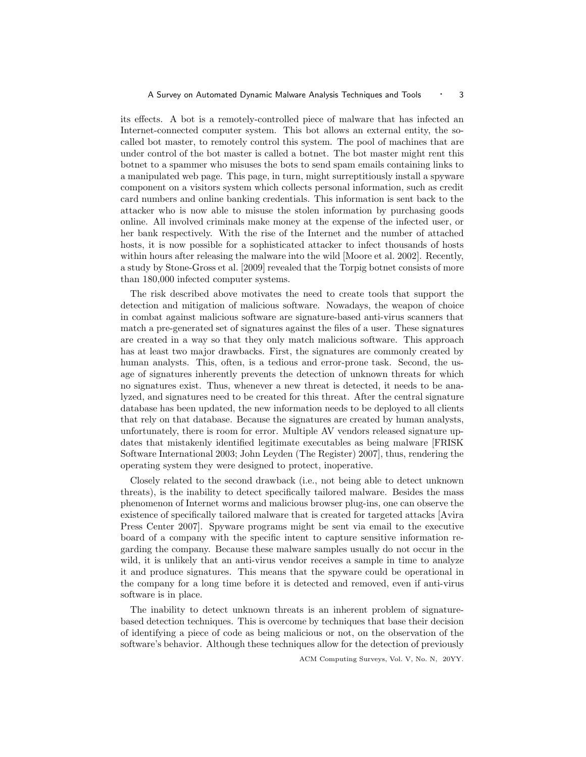its effects. A bot is a remotely-controlled piece of malware that has infected an Internet-connected computer system. This bot allows an external entity, the socalled bot master, to remotely control this system. The pool of machines that are under control of the bot master is called a botnet. The bot master might rent this botnet to a spammer who misuses the bots to send spam emails containing links to a manipulated web page. This page, in turn, might surreptitiously install a spyware component on a visitors system which collects personal information, such as credit card numbers and online banking credentials. This information is sent back to the attacker who is now able to misuse the stolen information by purchasing goods online. All involved criminals make money at the expense of the infected user, or her bank respectively. With the rise of the Internet and the number of attached hosts, it is now possible for a sophisticated attacker to infect thousands of hosts within hours after releasing the malware into the wild [Moore et al. 2002]. Recently, a study by Stone-Gross et al. [2009] revealed that the Torpig botnet consists of more than 180,000 infected computer systems.

The risk described above motivates the need to create tools that support the detection and mitigation of malicious software. Nowadays, the weapon of choice in combat against malicious software are signature-based anti-virus scanners that match a pre-generated set of signatures against the files of a user. These signatures are created in a way so that they only match malicious software. This approach has at least two major drawbacks. First, the signatures are commonly created by human analysts. This, often, is a tedious and error-prone task. Second, the usage of signatures inherently prevents the detection of unknown threats for which no signatures exist. Thus, whenever a new threat is detected, it needs to be analyzed, and signatures need to be created for this threat. After the central signature database has been updated, the new information needs to be deployed to all clients that rely on that database. Because the signatures are created by human analysts, unfortunately, there is room for error. Multiple AV vendors released signature updates that mistakenly identified legitimate executables as being malware [FRISK Software International 2003; John Leyden (The Register) 2007], thus, rendering the operating system they were designed to protect, inoperative.

Closely related to the second drawback (i.e., not being able to detect unknown threats), is the inability to detect specifically tailored malware. Besides the mass phenomenon of Internet worms and malicious browser plug-ins, one can observe the existence of specifically tailored malware that is created for targeted attacks [Avira Press Center 2007]. Spyware programs might be sent via email to the executive board of a company with the specific intent to capture sensitive information regarding the company. Because these malware samples usually do not occur in the wild, it is unlikely that an anti-virus vendor receives a sample in time to analyze it and produce signatures. This means that the spyware could be operational in the company for a long time before it is detected and removed, even if anti-virus software is in place.

The inability to detect unknown threats is an inherent problem of signaturebased detection techniques. This is overcome by techniques that base their decision of identifying a piece of code as being malicious or not, on the observation of the software's behavior. Although these techniques allow for the detection of previously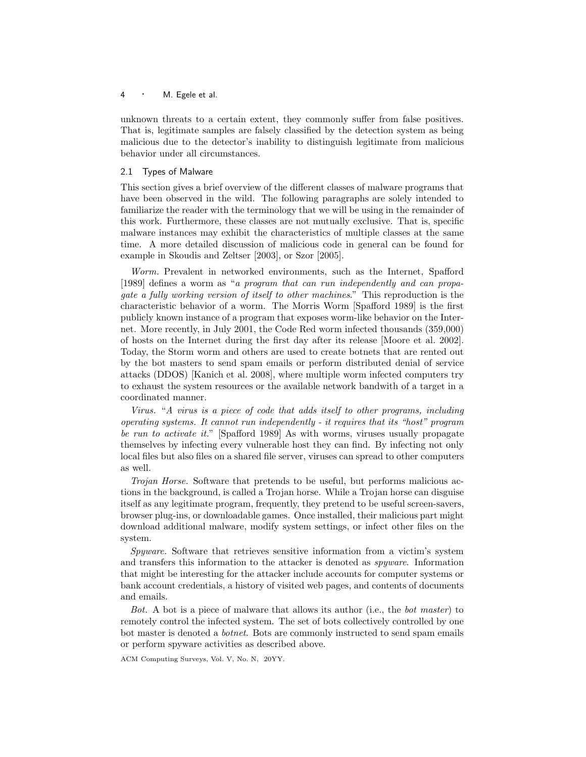unknown threats to a certain extent, they commonly suffer from false positives. That is, legitimate samples are falsely classified by the detection system as being malicious due to the detector's inability to distinguish legitimate from malicious behavior under all circumstances.

# 2.1 Types of Malware

This section gives a brief overview of the different classes of malware programs that have been observed in the wild. The following paragraphs are solely intended to familiarize the reader with the terminology that we will be using in the remainder of this work. Furthermore, these classes are not mutually exclusive. That is, specific malware instances may exhibit the characteristics of multiple classes at the same time. A more detailed discussion of malicious code in general can be found for example in Skoudis and Zeltser [2003], or Szor [2005].

*Worm.* Prevalent in networked environments, such as the Internet, Spafford [1989] defines a worm as "*a program that can run independently and can propagate a fully working version of itself to other machines*." This reproduction is the characteristic behavior of a worm. The Morris Worm [Spafford 1989] is the first publicly known instance of a program that exposes worm-like behavior on the Internet. More recently, in July 2001, the Code Red worm infected thousands (359,000) of hosts on the Internet during the first day after its release [Moore et al. 2002]. Today, the Storm worm and others are used to create botnets that are rented out by the bot masters to send spam emails or perform distributed denial of service attacks (DDOS) [Kanich et al. 2008], where multiple worm infected computers try to exhaust the system resources or the available network bandwith of a target in a coordinated manner.

*Virus.* "*A virus is a piece of code that adds itself to other programs, including operating systems. It cannot run independently - it requires that its "host" program be run to activate it.*" [Spafford 1989] As with worms, viruses usually propagate themselves by infecting every vulnerable host they can find. By infecting not only local files but also files on a shared file server, viruses can spread to other computers as well.

*Trojan Horse.* Software that pretends to be useful, but performs malicious actions in the background, is called a Trojan horse. While a Trojan horse can disguise itself as any legitimate program, frequently, they pretend to be useful screen-savers, browser plug-ins, or downloadable games. Once installed, their malicious part might download additional malware, modify system settings, or infect other files on the system.

*Spyware.* Software that retrieves sensitive information from a victim's system and transfers this information to the attacker is denoted as *spyware*. Information that might be interesting for the attacker include accounts for computer systems or bank account credentials, a history of visited web pages, and contents of documents and emails.

*Bot.* A bot is a piece of malware that allows its author (i.e., the *bot master*) to remotely control the infected system. The set of bots collectively controlled by one bot master is denoted a *botnet*. Bots are commonly instructed to send spam emails or perform spyware activities as described above.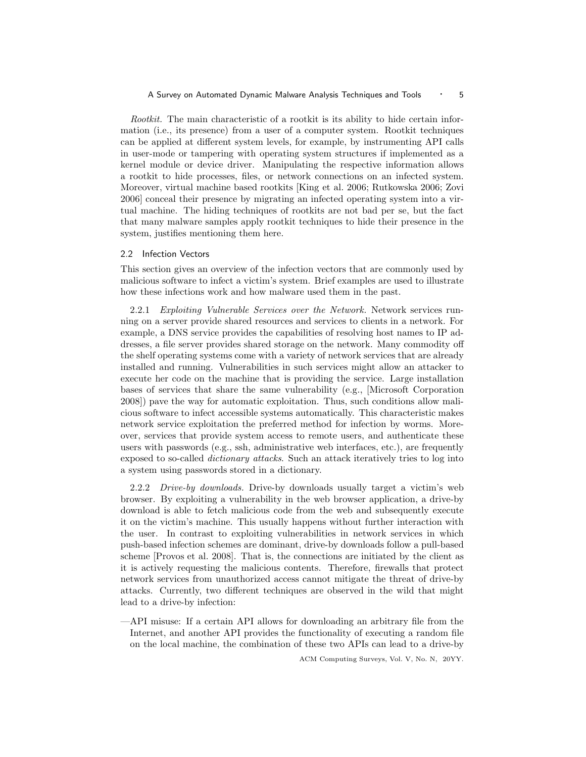*Rootkit.* The main characteristic of a rootkit is its ability to hide certain information (i.e., its presence) from a user of a computer system. Rootkit techniques can be applied at different system levels, for example, by instrumenting API calls in user-mode or tampering with operating system structures if implemented as a kernel module or device driver. Manipulating the respective information allows a rootkit to hide processes, files, or network connections on an infected system. Moreover, virtual machine based rootkits [King et al. 2006; Rutkowska 2006; Zovi 2006] conceal their presence by migrating an infected operating system into a virtual machine. The hiding techniques of rootkits are not bad per se, but the fact that many malware samples apply rootkit techniques to hide their presence in the system, justifies mentioning them here.

# 2.2 Infection Vectors

This section gives an overview of the infection vectors that are commonly used by malicious software to infect a victim's system. Brief examples are used to illustrate how these infections work and how malware used them in the past.

2.2.1 *Exploiting Vulnerable Services over the Network.* Network services running on a server provide shared resources and services to clients in a network. For example, a DNS service provides the capabilities of resolving host names to IP addresses, a file server provides shared storage on the network. Many commodity off the shelf operating systems come with a variety of network services that are already installed and running. Vulnerabilities in such services might allow an attacker to execute her code on the machine that is providing the service. Large installation bases of services that share the same vulnerability (e.g., [Microsoft Corporation 2008]) pave the way for automatic exploitation. Thus, such conditions allow malicious software to infect accessible systems automatically. This characteristic makes network service exploitation the preferred method for infection by worms. Moreover, services that provide system access to remote users, and authenticate these users with passwords (e.g., ssh, administrative web interfaces, etc.), are frequently exposed to so-called *dictionary attacks*. Such an attack iteratively tries to log into a system using passwords stored in a dictionary.

2.2.2 *Drive-by downloads.* Drive-by downloads usually target a victim's web browser. By exploiting a vulnerability in the web browser application, a drive-by download is able to fetch malicious code from the web and subsequently execute it on the victim's machine. This usually happens without further interaction with the user. In contrast to exploiting vulnerabilities in network services in which push-based infection schemes are dominant, drive-by downloads follow a pull-based scheme [Provos et al. 2008]. That is, the connections are initiated by the client as it is actively requesting the malicious contents. Therefore, firewalls that protect network services from unauthorized access cannot mitigate the threat of drive-by attacks. Currently, two different techniques are observed in the wild that might lead to a drive-by infection:

—API misuse: If a certain API allows for downloading an arbitrary file from the Internet, and another API provides the functionality of executing a random file on the local machine, the combination of these two APIs can lead to a drive-by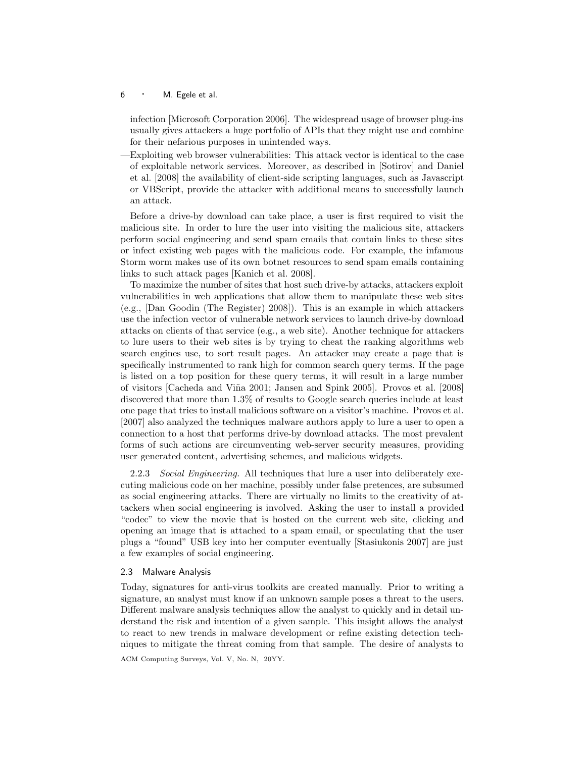infection [Microsoft Corporation 2006]. The widespread usage of browser plug-ins usually gives attackers a huge portfolio of APIs that they might use and combine for their nefarious purposes in unintended ways.

—Exploiting web browser vulnerabilities: This attack vector is identical to the case of exploitable network services. Moreover, as described in [Sotirov] and Daniel et al. [2008] the availability of client-side scripting languages, such as Javascript or VBScript, provide the attacker with additional means to successfully launch an attack.

Before a drive-by download can take place, a user is first required to visit the malicious site. In order to lure the user into visiting the malicious site, attackers perform social engineering and send spam emails that contain links to these sites or infect existing web pages with the malicious code. For example, the infamous Storm worm makes use of its own botnet resources to send spam emails containing links to such attack pages [Kanich et al. 2008].

To maximize the number of sites that host such drive-by attacks, attackers exploit vulnerabilities in web applications that allow them to manipulate these web sites (e.g., [Dan Goodin (The Register) 2008]). This is an example in which attackers use the infection vector of vulnerable network services to launch drive-by download attacks on clients of that service (e.g., a web site). Another technique for attackers to lure users to their web sites is by trying to cheat the ranking algorithms web search engines use, to sort result pages. An attacker may create a page that is specifically instrumented to rank high for common search query terms. If the page is listed on a top position for these query terms, it will result in a large number of visitors [Cacheda and Viña 2001; Jansen and Spink 2005]. Provos et al. [2008] discovered that more than 1.3% of results to Google search queries include at least one page that tries to install malicious software on a visitor's machine. Provos et al. [2007] also analyzed the techniques malware authors apply to lure a user to open a connection to a host that performs drive-by download attacks. The most prevalent forms of such actions are circumventing web-server security measures, providing user generated content, advertising schemes, and malicious widgets.

2.2.3 *Social Engineering.* All techniques that lure a user into deliberately executing malicious code on her machine, possibly under false pretences, are subsumed as social engineering attacks. There are virtually no limits to the creativity of attackers when social engineering is involved. Asking the user to install a provided "codec" to view the movie that is hosted on the current web site, clicking and opening an image that is attached to a spam email, or speculating that the user plugs a "found" USB key into her computer eventually [Stasiukonis 2007] are just a few examples of social engineering.

#### 2.3 Malware Analysis

Today, signatures for anti-virus toolkits are created manually. Prior to writing a signature, an analyst must know if an unknown sample poses a threat to the users. Different malware analysis techniques allow the analyst to quickly and in detail understand the risk and intention of a given sample. This insight allows the analyst to react to new trends in malware development or refine existing detection techniques to mitigate the threat coming from that sample. The desire of analysts to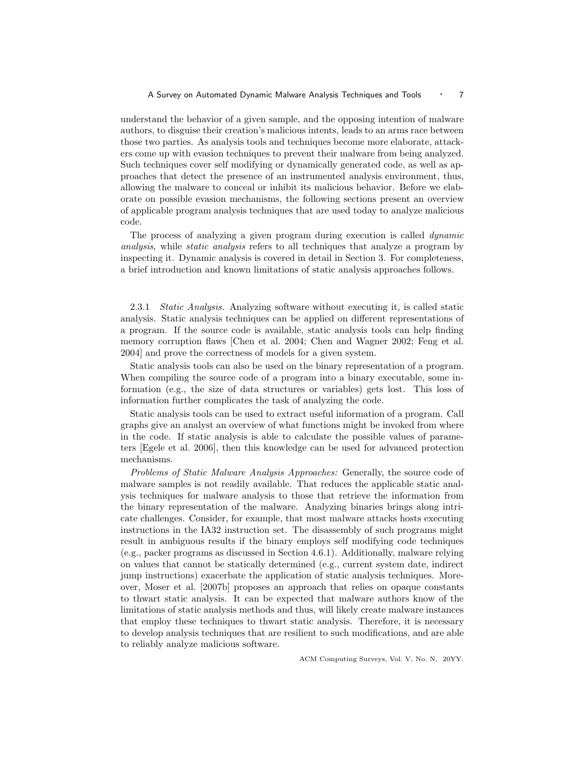understand the behavior of a given sample, and the opposing intention of malware authors, to disguise their creation's malicious intents, leads to an arms race between those two parties. As analysis tools and techniques become more elaborate, attackers come up with evasion techniques to prevent their malware from being analyzed. Such techniques cover self modifying or dynamically generated code, as well as approaches that detect the presence of an instrumented analysis environment, thus, allowing the malware to conceal or inhibit its malicious behavior. Before we elaborate on possible evasion mechanisms, the following sections present an overview of applicable program analysis techniques that are used today to analyze malicious code.

The process of analyzing a given program during execution is called *dynamic analysis*, while *static analysis* refers to all techniques that analyze a program by inspecting it. Dynamic analysis is covered in detail in Section 3. For completeness, a brief introduction and known limitations of static analysis approaches follows.

2.3.1 *Static Analysis.* Analyzing software without executing it, is called static analysis. Static analysis techniques can be applied on different representations of a program. If the source code is available, static analysis tools can help finding memory corruption flaws [Chen et al. 2004; Chen and Wagner 2002; Feng et al. 2004] and prove the correctness of models for a given system.

Static analysis tools can also be used on the binary representation of a program. When compiling the source code of a program into a binary executable, some information (e.g., the size of data structures or variables) gets lost. This loss of information further complicates the task of analyzing the code.

Static analysis tools can be used to extract useful information of a program. Call graphs give an analyst an overview of what functions might be invoked from where in the code. If static analysis is able to calculate the possible values of parameters [Egele et al. 2006], then this knowledge can be used for advanced protection mechanisms.

*Problems of Static Malware Analysis Approaches:* Generally, the source code of malware samples is not readily available. That reduces the applicable static analysis techniques for malware analysis to those that retrieve the information from the binary representation of the malware. Analyzing binaries brings along intricate challenges. Consider, for example, that most malware attacks hosts executing instructions in the IA32 instruction set. The disassembly of such programs might result in ambiguous results if the binary employs self modifying code techniques (e.g., packer programs as discussed in Section 4.6.1). Additionally, malware relying on values that cannot be statically determined (e.g., current system date, indirect jump instructions) exacerbate the application of static analysis techniques. Moreover, Moser et al. [2007b] proposes an approach that relies on opaque constants to thwart static analysis. It can be expected that malware authors know of the limitations of static analysis methods and thus, will likely create malware instances that employ these techniques to thwart static analysis. Therefore, it is necessary to develop analysis techniques that are resilient to such modifications, and are able to reliably analyze malicious software.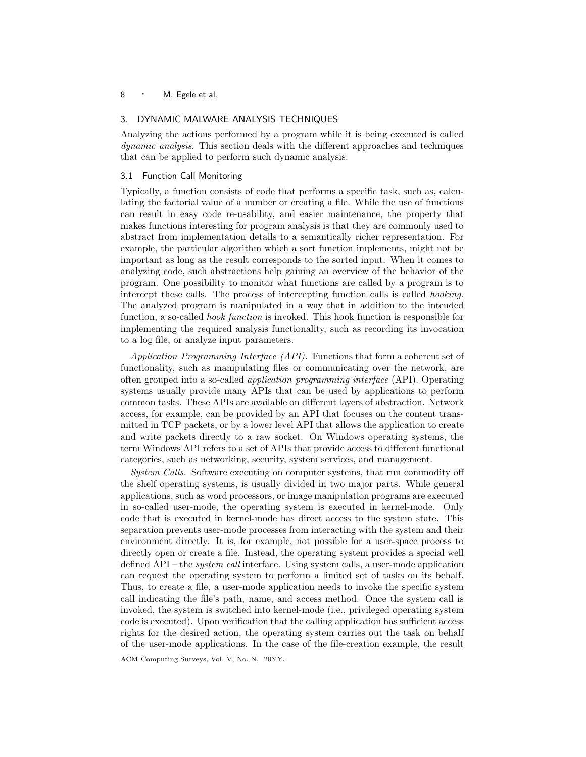# 3. DYNAMIC MALWARE ANALYSIS TECHNIQUES

Analyzing the actions performed by a program while it is being executed is called *dynamic analysis*. This section deals with the different approaches and techniques that can be applied to perform such dynamic analysis.

#### 3.1 Function Call Monitoring

Typically, a function consists of code that performs a specific task, such as, calculating the factorial value of a number or creating a file. While the use of functions can result in easy code re-usability, and easier maintenance, the property that makes functions interesting for program analysis is that they are commonly used to abstract from implementation details to a semantically richer representation. For example, the particular algorithm which a sort function implements, might not be important as long as the result corresponds to the sorted input. When it comes to analyzing code, such abstractions help gaining an overview of the behavior of the program. One possibility to monitor what functions are called by a program is to intercept these calls. The process of intercepting function calls is called *hooking*. The analyzed program is manipulated in a way that in addition to the intended function, a so-called *hook function* is invoked. This hook function is responsible for implementing the required analysis functionality, such as recording its invocation to a log file, or analyze input parameters.

*Application Programming Interface (API).* Functions that form a coherent set of functionality, such as manipulating files or communicating over the network, are often grouped into a so-called *application programming interface* (API). Operating systems usually provide many APIs that can be used by applications to perform common tasks. These APIs are available on different layers of abstraction. Network access, for example, can be provided by an API that focuses on the content transmitted in TCP packets, or by a lower level API that allows the application to create and write packets directly to a raw socket. On Windows operating systems, the term Windows API refers to a set of APIs that provide access to different functional categories, such as networking, security, system services, and management.

*System Calls.* Software executing on computer systems, that run commodity off the shelf operating systems, is usually divided in two major parts. While general applications, such as word processors, or image manipulation programs are executed in so-called user-mode, the operating system is executed in kernel-mode. Only code that is executed in kernel-mode has direct access to the system state. This separation prevents user-mode processes from interacting with the system and their environment directly. It is, for example, not possible for a user-space process to directly open or create a file. Instead, the operating system provides a special well defined API – the *system call* interface. Using system calls, a user-mode application can request the operating system to perform a limited set of tasks on its behalf. Thus, to create a file, a user-mode application needs to invoke the specific system call indicating the file's path, name, and access method. Once the system call is invoked, the system is switched into kernel-mode (i.e., privileged operating system code is executed). Upon verification that the calling application has sufficient access rights for the desired action, the operating system carries out the task on behalf of the user-mode applications. In the case of the file-creation example, the result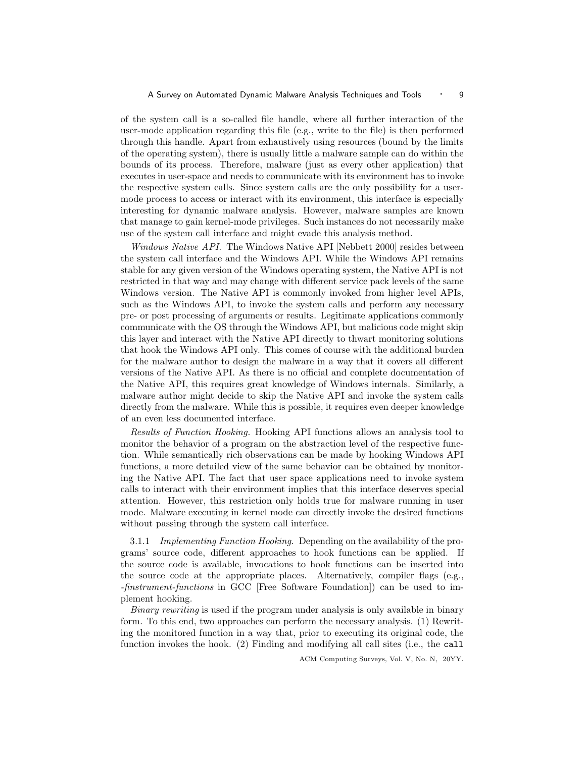of the system call is a so-called file handle, where all further interaction of the user-mode application regarding this file (e.g., write to the file) is then performed through this handle. Apart from exhaustively using resources (bound by the limits of the operating system), there is usually little a malware sample can do within the bounds of its process. Therefore, malware (just as every other application) that executes in user-space and needs to communicate with its environment has to invoke the respective system calls. Since system calls are the only possibility for a usermode process to access or interact with its environment, this interface is especially interesting for dynamic malware analysis. However, malware samples are known that manage to gain kernel-mode privileges. Such instances do not necessarily make use of the system call interface and might evade this analysis method.

*Windows Native API.* The Windows Native API [Nebbett 2000] resides between the system call interface and the Windows API. While the Windows API remains stable for any given version of the Windows operating system, the Native API is not restricted in that way and may change with different service pack levels of the same Windows version. The Native API is commonly invoked from higher level APIs, such as the Windows API, to invoke the system calls and perform any necessary pre- or post processing of arguments or results. Legitimate applications commonly communicate with the OS through the Windows API, but malicious code might skip this layer and interact with the Native API directly to thwart monitoring solutions that hook the Windows API only. This comes of course with the additional burden for the malware author to design the malware in a way that it covers all different versions of the Native API. As there is no official and complete documentation of the Native API, this requires great knowledge of Windows internals. Similarly, a malware author might decide to skip the Native API and invoke the system calls directly from the malware. While this is possible, it requires even deeper knowledge of an even less documented interface.

*Results of Function Hooking.* Hooking API functions allows an analysis tool to monitor the behavior of a program on the abstraction level of the respective function. While semantically rich observations can be made by hooking Windows API functions, a more detailed view of the same behavior can be obtained by monitoring the Native API. The fact that user space applications need to invoke system calls to interact with their environment implies that this interface deserves special attention. However, this restriction only holds true for malware running in user mode. Malware executing in kernel mode can directly invoke the desired functions without passing through the system call interface.

3.1.1 *Implementing Function Hooking.* Depending on the availability of the programs' source code, different approaches to hook functions can be applied. If the source code is available, invocations to hook functions can be inserted into the source code at the appropriate places. Alternatively, compiler flags (e.g., *-finstrument-functions* in GCC [Free Software Foundation]) can be used to implement hooking.

*Binary rewriting* is used if the program under analysis is only available in binary form. To this end, two approaches can perform the necessary analysis. (1) Rewriting the monitored function in a way that, prior to executing its original code, the function invokes the hook. (2) Finding and modifying all call sites (i.e., the call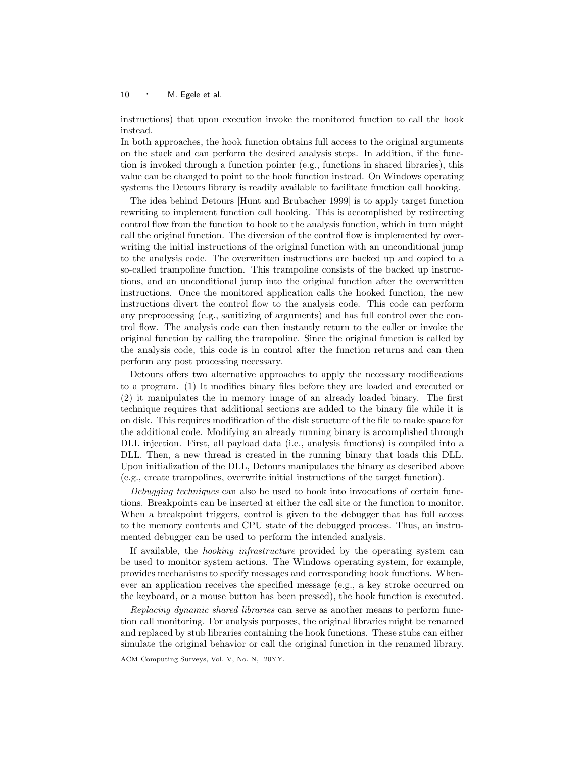instructions) that upon execution invoke the monitored function to call the hook instead.

In both approaches, the hook function obtains full access to the original arguments on the stack and can perform the desired analysis steps. In addition, if the function is invoked through a function pointer (e.g., functions in shared libraries), this value can be changed to point to the hook function instead. On Windows operating systems the Detours library is readily available to facilitate function call hooking.

The idea behind Detours [Hunt and Brubacher 1999] is to apply target function rewriting to implement function call hooking. This is accomplished by redirecting control flow from the function to hook to the analysis function, which in turn might call the original function. The diversion of the control flow is implemented by overwriting the initial instructions of the original function with an unconditional jump to the analysis code. The overwritten instructions are backed up and copied to a so-called trampoline function. This trampoline consists of the backed up instructions, and an unconditional jump into the original function after the overwritten instructions. Once the monitored application calls the hooked function, the new instructions divert the control flow to the analysis code. This code can perform any preprocessing (e.g., sanitizing of arguments) and has full control over the control flow. The analysis code can then instantly return to the caller or invoke the original function by calling the trampoline. Since the original function is called by the analysis code, this code is in control after the function returns and can then perform any post processing necessary.

Detours offers two alternative approaches to apply the necessary modifications to a program. (1) It modifies binary files before they are loaded and executed or (2) it manipulates the in memory image of an already loaded binary. The first technique requires that additional sections are added to the binary file while it is on disk. This requires modification of the disk structure of the file to make space for the additional code. Modifying an already running binary is accomplished through DLL injection. First, all payload data (i.e., analysis functions) is compiled into a DLL. Then, a new thread is created in the running binary that loads this DLL. Upon initialization of the DLL, Detours manipulates the binary as described above (e.g., create trampolines, overwrite initial instructions of the target function).

*Debugging techniques* can also be used to hook into invocations of certain functions. Breakpoints can be inserted at either the call site or the function to monitor. When a breakpoint triggers, control is given to the debugger that has full access to the memory contents and CPU state of the debugged process. Thus, an instrumented debugger can be used to perform the intended analysis.

If available, the *hooking infrastructure* provided by the operating system can be used to monitor system actions. The Windows operating system, for example, provides mechanisms to specify messages and corresponding hook functions. Whenever an application receives the specified message (e.g., a key stroke occurred on the keyboard, or a mouse button has been pressed), the hook function is executed.

*Replacing dynamic shared libraries* can serve as another means to perform function call monitoring. For analysis purposes, the original libraries might be renamed and replaced by stub libraries containing the hook functions. These stubs can either simulate the original behavior or call the original function in the renamed library.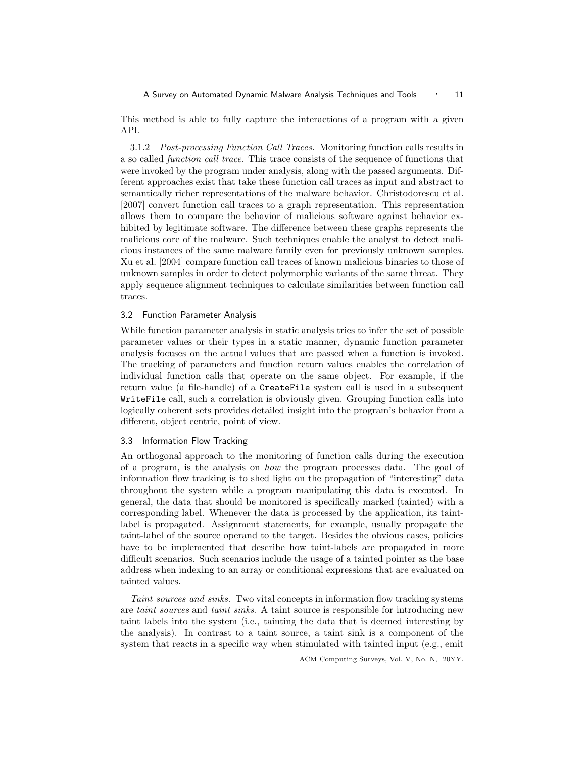This method is able to fully capture the interactions of a program with a given API.

3.1.2 *Post-processing Function Call Traces.* Monitoring function calls results in a so called *function call trace*. This trace consists of the sequence of functions that were invoked by the program under analysis, along with the passed arguments. Different approaches exist that take these function call traces as input and abstract to semantically richer representations of the malware behavior. Christodorescu et al. [2007] convert function call traces to a graph representation. This representation allows them to compare the behavior of malicious software against behavior exhibited by legitimate software. The difference between these graphs represents the malicious core of the malware. Such techniques enable the analyst to detect malicious instances of the same malware family even for previously unknown samples. Xu et al. [2004] compare function call traces of known malicious binaries to those of unknown samples in order to detect polymorphic variants of the same threat. They apply sequence alignment techniques to calculate similarities between function call traces.

## 3.2 Function Parameter Analysis

While function parameter analysis in static analysis tries to infer the set of possible parameter values or their types in a static manner, dynamic function parameter analysis focuses on the actual values that are passed when a function is invoked. The tracking of parameters and function return values enables the correlation of individual function calls that operate on the same object. For example, if the return value (a file-handle) of a CreateFile system call is used in a subsequent WriteFile call, such a correlation is obviously given. Grouping function calls into logically coherent sets provides detailed insight into the program's behavior from a different, object centric, point of view.

## 3.3 Information Flow Tracking

An orthogonal approach to the monitoring of function calls during the execution of a program, is the analysis on *how* the program processes data. The goal of information flow tracking is to shed light on the propagation of "interesting" data throughout the system while a program manipulating this data is executed. In general, the data that should be monitored is specifically marked (tainted) with a corresponding label. Whenever the data is processed by the application, its taintlabel is propagated. Assignment statements, for example, usually propagate the taint-label of the source operand to the target. Besides the obvious cases, policies have to be implemented that describe how taint-labels are propagated in more difficult scenarios. Such scenarios include the usage of a tainted pointer as the base address when indexing to an array or conditional expressions that are evaluated on tainted values.

*Taint sources and sinks.* Two vital concepts in information flow tracking systems are *taint sources* and *taint sinks*. A taint source is responsible for introducing new taint labels into the system (i.e., tainting the data that is deemed interesting by the analysis). In contrast to a taint source, a taint sink is a component of the system that reacts in a specific way when stimulated with tainted input (e.g., emit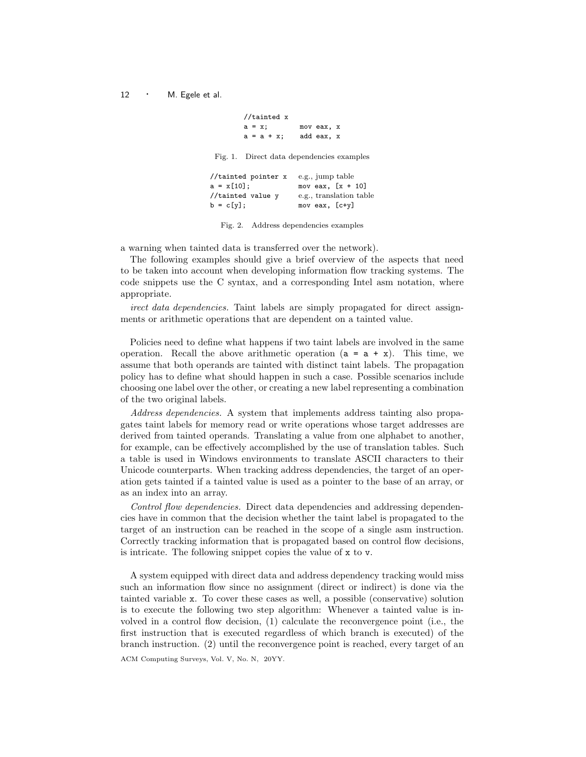//tainted x  $a = x$ ; mov eax, x  $a = a + x$ ; add eax, x Fig. 1. Direct data dependencies examples //tainted pointer x e.g., jump table  $a = x[10];$  mov eax,  $[x + 10]$ //tainted value y e.g., translation table  $b = c[y]$ ; mov eax,  $[c+y]$ 

Fig. 2. Address dependencies examples

a warning when tainted data is transferred over the network).

The following examples should give a brief overview of the aspects that need to be taken into account when developing information flow tracking systems. The code snippets use the C syntax, and a corresponding Intel asm notation, where appropriate.

*irect data dependencies.* Taint labels are simply propagated for direct assignments or arithmetic operations that are dependent on a tainted value.

Policies need to define what happens if two taint labels are involved in the same operation. Recall the above arithmetic operation  $(a = a + x)$ . This time, we assume that both operands are tainted with distinct taint labels. The propagation policy has to define what should happen in such a case. Possible scenarios include choosing one label over the other, or creating a new label representing a combination of the two original labels.

*Address dependencies.* A system that implements address tainting also propagates taint labels for memory read or write operations whose target addresses are derived from tainted operands. Translating a value from one alphabet to another, for example, can be effectively accomplished by the use of translation tables. Such a table is used in Windows environments to translate ASCII characters to their Unicode counterparts. When tracking address dependencies, the target of an operation gets tainted if a tainted value is used as a pointer to the base of an array, or as an index into an array.

*Control flow dependencies.* Direct data dependencies and addressing dependencies have in common that the decision whether the taint label is propagated to the target of an instruction can be reached in the scope of a single asm instruction. Correctly tracking information that is propagated based on control flow decisions, is intricate. The following snippet copies the value of x to v.

A system equipped with direct data and address dependency tracking would miss such an information flow since no assignment (direct or indirect) is done via the tainted variable x. To cover these cases as well, a possible (conservative) solution is to execute the following two step algorithm: Whenever a tainted value is involved in a control flow decision, (1) calculate the reconvergence point (i.e., the first instruction that is executed regardless of which branch is executed) of the branch instruction. (2) until the reconvergence point is reached, every target of an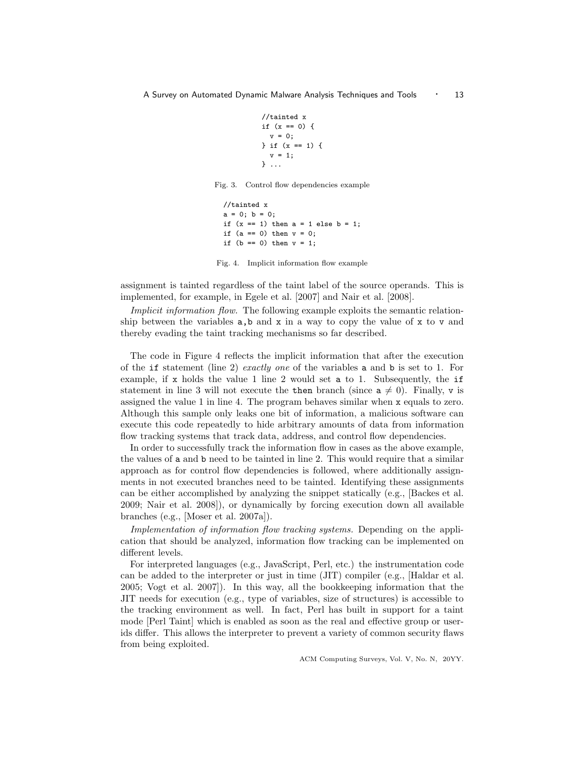```
//tainted x
if (x == 0) {
 v = 0;} if (x == 1) {
 v = 1;} ...
```
Fig. 3. Control flow dependencies example

```
//tainted x
a = 0; b = 0;
if (x == 1) then a = 1 else b = 1;
if (a == 0) then v = 0;
if (b == 0) then v = 1;
```
Fig. 4. Implicit information flow example

assignment is tainted regardless of the taint label of the source operands. This is implemented, for example, in Egele et al. [2007] and Nair et al. [2008].

*Implicit information flow.* The following example exploits the semantic relationship between the variables  $a, b$  and  $x$  in a way to copy the value of  $x$  to  $y$  and thereby evading the taint tracking mechanisms so far described.

The code in Figure 4 reflects the implicit information that after the execution of the if statement (line 2) *exactly one* of the variables a and b is set to 1. For example, if  $x$  holds the value 1 line 2 would set a to 1. Subsequently, the if statement in line 3 will not execute the then branch (since  $a \neq 0$ ). Finally, v is assigned the value 1 in line 4. The program behaves similar when x equals to zero. Although this sample only leaks one bit of information, a malicious software can execute this code repeatedly to hide arbitrary amounts of data from information flow tracking systems that track data, address, and control flow dependencies.

In order to successfully track the information flow in cases as the above example, the values of a and b need to be tainted in line 2. This would require that a similar approach as for control flow dependencies is followed, where additionally assignments in not executed branches need to be tainted. Identifying these assignments can be either accomplished by analyzing the snippet statically (e.g., [Backes et al. 2009; Nair et al. 2008]), or dynamically by forcing execution down all available branches (e.g., [Moser et al. 2007a]).

*Implementation of information flow tracking systems.* Depending on the application that should be analyzed, information flow tracking can be implemented on different levels.

For interpreted languages (e.g., JavaScript, Perl, etc.) the instrumentation code can be added to the interpreter or just in time (JIT) compiler (e.g., [Haldar et al. 2005; Vogt et al. 2007]). In this way, all the bookkeeping information that the JIT needs for execution (e.g., type of variables, size of structures) is accessible to the tracking environment as well. In fact, Perl has built in support for a taint mode [Perl Taint] which is enabled as soon as the real and effective group or userids differ. This allows the interpreter to prevent a variety of common security flaws from being exploited.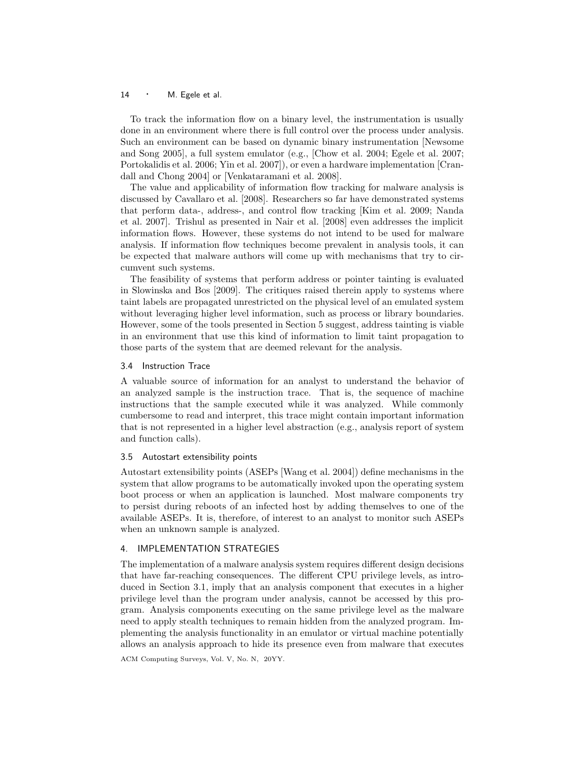To track the information flow on a binary level, the instrumentation is usually done in an environment where there is full control over the process under analysis. Such an environment can be based on dynamic binary instrumentation [Newsome and Song 2005], a full system emulator (e.g., [Chow et al. 2004; Egele et al. 2007; Portokalidis et al. 2006; Yin et al. 2007]), or even a hardware implementation [Crandall and Chong 2004] or [Venkataramani et al. 2008].

The value and applicability of information flow tracking for malware analysis is discussed by Cavallaro et al. [2008]. Researchers so far have demonstrated systems that perform data-, address-, and control flow tracking [Kim et al. 2009; Nanda et al. 2007]. Trishul as presented in Nair et al. [2008] even addresses the implicit information flows. However, these systems do not intend to be used for malware analysis. If information flow techniques become prevalent in analysis tools, it can be expected that malware authors will come up with mechanisms that try to circumvent such systems.

The feasibility of systems that perform address or pointer tainting is evaluated in Slowinska and Bos [2009]. The critiques raised therein apply to systems where taint labels are propagated unrestricted on the physical level of an emulated system without leveraging higher level information, such as process or library boundaries. However, some of the tools presented in Section 5 suggest, address tainting is viable in an environment that use this kind of information to limit taint propagation to those parts of the system that are deemed relevant for the analysis.

#### 3.4 Instruction Trace

A valuable source of information for an analyst to understand the behavior of an analyzed sample is the instruction trace. That is, the sequence of machine instructions that the sample executed while it was analyzed. While commonly cumbersome to read and interpret, this trace might contain important information that is not represented in a higher level abstraction (e.g., analysis report of system and function calls).

## 3.5 Autostart extensibility points

Autostart extensibility points (ASEPs [Wang et al. 2004]) define mechanisms in the system that allow programs to be automatically invoked upon the operating system boot process or when an application is launched. Most malware components try to persist during reboots of an infected host by adding themselves to one of the available ASEPs. It is, therefore, of interest to an analyst to monitor such ASEPs when an unknown sample is analyzed.

# 4. IMPLEMENTATION STRATEGIES

The implementation of a malware analysis system requires different design decisions that have far-reaching consequences. The different CPU privilege levels, as introduced in Section 3.1, imply that an analysis component that executes in a higher privilege level than the program under analysis, cannot be accessed by this program. Analysis components executing on the same privilege level as the malware need to apply stealth techniques to remain hidden from the analyzed program. Implementing the analysis functionality in an emulator or virtual machine potentially allows an analysis approach to hide its presence even from malware that executes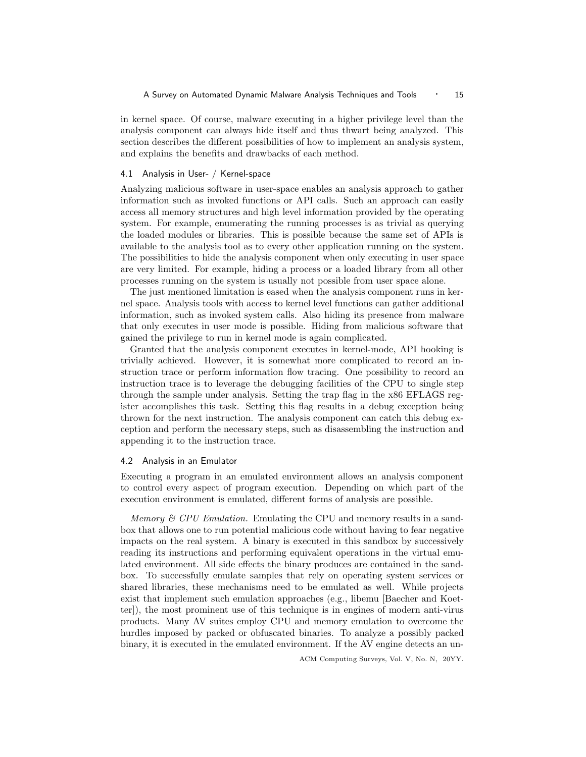in kernel space. Of course, malware executing in a higher privilege level than the analysis component can always hide itself and thus thwart being analyzed. This section describes the different possibilities of how to implement an analysis system, and explains the benefits and drawbacks of each method.

## 4.1 Analysis in User- / Kernel-space

Analyzing malicious software in user-space enables an analysis approach to gather information such as invoked functions or API calls. Such an approach can easily access all memory structures and high level information provided by the operating system. For example, enumerating the running processes is as trivial as querying the loaded modules or libraries. This is possible because the same set of APIs is available to the analysis tool as to every other application running on the system. The possibilities to hide the analysis component when only executing in user space are very limited. For example, hiding a process or a loaded library from all other processes running on the system is usually not possible from user space alone.

The just mentioned limitation is eased when the analysis component runs in kernel space. Analysis tools with access to kernel level functions can gather additional information, such as invoked system calls. Also hiding its presence from malware that only executes in user mode is possible. Hiding from malicious software that gained the privilege to run in kernel mode is again complicated.

Granted that the analysis component executes in kernel-mode, API hooking is trivially achieved. However, it is somewhat more complicated to record an instruction trace or perform information flow tracing. One possibility to record an instruction trace is to leverage the debugging facilities of the CPU to single step through the sample under analysis. Setting the trap flag in the x86 EFLAGS register accomplishes this task. Setting this flag results in a debug exception being thrown for the next instruction. The analysis component can catch this debug exception and perform the necessary steps, such as disassembling the instruction and appending it to the instruction trace.

#### 4.2 Analysis in an Emulator

Executing a program in an emulated environment allows an analysis component to control every aspect of program execution. Depending on which part of the execution environment is emulated, different forms of analysis are possible.

*Memory & CPU Emulation.* Emulating the CPU and memory results in a sandbox that allows one to run potential malicious code without having to fear negative impacts on the real system. A binary is executed in this sandbox by successively reading its instructions and performing equivalent operations in the virtual emulated environment. All side effects the binary produces are contained in the sandbox. To successfully emulate samples that rely on operating system services or shared libraries, these mechanisms need to be emulated as well. While projects exist that implement such emulation approaches (e.g., libemu [Baecher and Koetter]), the most prominent use of this technique is in engines of modern anti-virus products. Many AV suites employ CPU and memory emulation to overcome the hurdles imposed by packed or obfuscated binaries. To analyze a possibly packed binary, it is executed in the emulated environment. If the AV engine detects an un-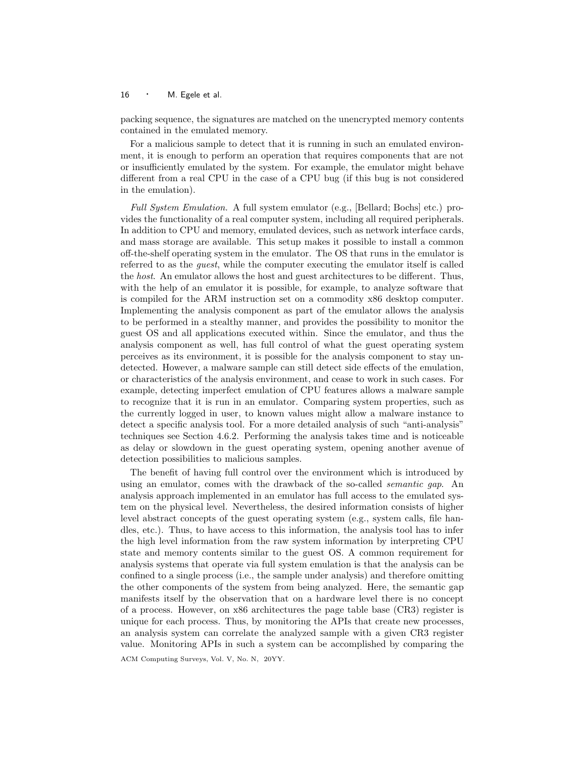packing sequence, the signatures are matched on the unencrypted memory contents contained in the emulated memory.

For a malicious sample to detect that it is running in such an emulated environment, it is enough to perform an operation that requires components that are not or insufficiently emulated by the system. For example, the emulator might behave different from a real CPU in the case of a CPU bug (if this bug is not considered in the emulation).

*Full System Emulation.* A full system emulator (e.g., [Bellard; Bochs] etc.) provides the functionality of a real computer system, including all required peripherals. In addition to CPU and memory, emulated devices, such as network interface cards, and mass storage are available. This setup makes it possible to install a common off-the-shelf operating system in the emulator. The OS that runs in the emulator is referred to as the *guest*, while the computer executing the emulator itself is called the *host*. An emulator allows the host and guest architectures to be different. Thus, with the help of an emulator it is possible, for example, to analyze software that is compiled for the ARM instruction set on a commodity x86 desktop computer. Implementing the analysis component as part of the emulator allows the analysis to be performed in a stealthy manner, and provides the possibility to monitor the guest OS and all applications executed within. Since the emulator, and thus the analysis component as well, has full control of what the guest operating system perceives as its environment, it is possible for the analysis component to stay undetected. However, a malware sample can still detect side effects of the emulation, or characteristics of the analysis environment, and cease to work in such cases. For example, detecting imperfect emulation of CPU features allows a malware sample to recognize that it is run in an emulator. Comparing system properties, such as the currently logged in user, to known values might allow a malware instance to detect a specific analysis tool. For a more detailed analysis of such "anti-analysis" techniques see Section 4.6.2. Performing the analysis takes time and is noticeable as delay or slowdown in the guest operating system, opening another avenue of detection possibilities to malicious samples.

The benefit of having full control over the environment which is introduced by using an emulator, comes with the drawback of the so-called *semantic gap*. An analysis approach implemented in an emulator has full access to the emulated system on the physical level. Nevertheless, the desired information consists of higher level abstract concepts of the guest operating system (e.g., system calls, file handles, etc.). Thus, to have access to this information, the analysis tool has to infer the high level information from the raw system information by interpreting CPU state and memory contents similar to the guest OS. A common requirement for analysis systems that operate via full system emulation is that the analysis can be confined to a single process (i.e., the sample under analysis) and therefore omitting the other components of the system from being analyzed. Here, the semantic gap manifests itself by the observation that on a hardware level there is no concept of a process. However, on x86 architectures the page table base (CR3) register is unique for each process. Thus, by monitoring the APIs that create new processes, an analysis system can correlate the analyzed sample with a given CR3 register value. Monitoring APIs in such a system can be accomplished by comparing the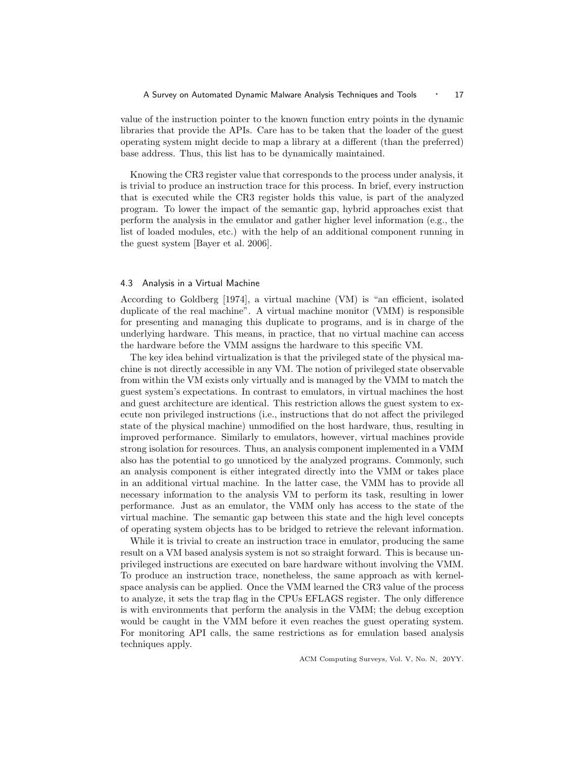value of the instruction pointer to the known function entry points in the dynamic libraries that provide the APIs. Care has to be taken that the loader of the guest operating system might decide to map a library at a different (than the preferred) base address. Thus, this list has to be dynamically maintained.

Knowing the CR3 register value that corresponds to the process under analysis, it is trivial to produce an instruction trace for this process. In brief, every instruction that is executed while the CR3 register holds this value, is part of the analyzed program. To lower the impact of the semantic gap, hybrid approaches exist that perform the analysis in the emulator and gather higher level information (e.g., the list of loaded modules, etc.) with the help of an additional component running in the guest system [Bayer et al. 2006].

#### 4.3 Analysis in a Virtual Machine

According to Goldberg [1974], a virtual machine (VM) is "an efficient, isolated duplicate of the real machine". A virtual machine monitor (VMM) is responsible for presenting and managing this duplicate to programs, and is in charge of the underlying hardware. This means, in practice, that no virtual machine can access the hardware before the VMM assigns the hardware to this specific VM.

The key idea behind virtualization is that the privileged state of the physical machine is not directly accessible in any VM. The notion of privileged state observable from within the VM exists only virtually and is managed by the VMM to match the guest system's expectations. In contrast to emulators, in virtual machines the host and guest architecture are identical. This restriction allows the guest system to execute non privileged instructions (i.e., instructions that do not affect the privileged state of the physical machine) unmodified on the host hardware, thus, resulting in improved performance. Similarly to emulators, however, virtual machines provide strong isolation for resources. Thus, an analysis component implemented in a VMM also has the potential to go unnoticed by the analyzed programs. Commonly, such an analysis component is either integrated directly into the VMM or takes place in an additional virtual machine. In the latter case, the VMM has to provide all necessary information to the analysis VM to perform its task, resulting in lower performance. Just as an emulator, the VMM only has access to the state of the virtual machine. The semantic gap between this state and the high level concepts of operating system objects has to be bridged to retrieve the relevant information.

While it is trivial to create an instruction trace in emulator, producing the same result on a VM based analysis system is not so straight forward. This is because unprivileged instructions are executed on bare hardware without involving the VMM. To produce an instruction trace, nonetheless, the same approach as with kernelspace analysis can be applied. Once the VMM learned the CR3 value of the process to analyze, it sets the trap flag in the CPUs EFLAGS register. The only difference is with environments that perform the analysis in the VMM; the debug exception would be caught in the VMM before it even reaches the guest operating system. For monitoring API calls, the same restrictions as for emulation based analysis techniques apply.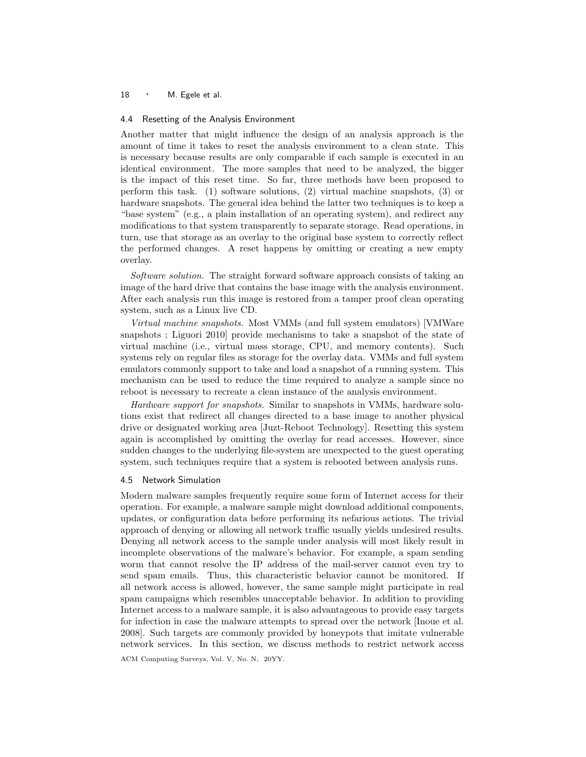#### 4.4 Resetting of the Analysis Environment

Another matter that might influence the design of an analysis approach is the amount of time it takes to reset the analysis environment to a clean state. This is necessary because results are only comparable if each sample is executed in an identical environment. The more samples that need to be analyzed, the bigger is the impact of this reset time. So far, three methods have been proposed to perform this task. (1) software solutions, (2) virtual machine snapshots, (3) or hardware snapshots. The general idea behind the latter two techniques is to keep a "base system" (e.g., a plain installation of an operating system), and redirect any modifications to that system transparently to separate storage. Read operations, in turn, use that storage as an overlay to the original base system to correctly reflect the performed changes. A reset happens by omitting or creating a new empty overlay.

*Software solution.* The straight forward software approach consists of taking an image of the hard drive that contains the base image with the analysis environment. After each analysis run this image is restored from a tamper proof clean operating system, such as a Linux live CD.

*Virtual machine snapshots.* Most VMMs (and full system emulators) [VMWare snapshots ; Liguori 2010] provide mechanisms to take a snapshot of the state of virtual machine (i.e., virtual mass storage, CPU, and memory contents). Such systems rely on regular files as storage for the overlay data. VMMs and full system emulators commonly support to take and load a snapshot of a running system. This mechanism can be used to reduce the time required to analyze a sample since no reboot is necessary to recreate a clean instance of the analysis environment.

*Hardware support for snapshots.* Similar to snapshots in VMMs, hardware solutions exist that redirect all changes directed to a base image to another physical drive or designated working area [Juzt-Reboot Technology]. Resetting this system again is accomplished by omitting the overlay for read accesses. However, since sudden changes to the underlying file-system are unexpected to the guest operating system, such techniques require that a system is rebooted between analysis runs.

#### 4.5 Network Simulation

Modern malware samples frequently require some form of Internet access for their operation. For example, a malware sample might download additional components, updates, or configuration data before performing its nefarious actions. The trivial approach of denying or allowing all network traffic usually yields undesired results. Denying all network access to the sample under analysis will most likely result in incomplete observations of the malware's behavior. For example, a spam sending worm that cannot resolve the IP address of the mail-server cannot even try to send spam emails. Thus, this characteristic behavior cannot be monitored. If all network access is allowed, however, the same sample might participate in real spam campaigns which resembles unacceptable behavior. In addition to providing Internet access to a malware sample, it is also advantageous to provide easy targets for infection in case the malware attempts to spread over the network [Inoue et al. 2008]. Such targets are commonly provided by honeypots that imitate vulnerable network services. In this section, we discuss methods to restrict network access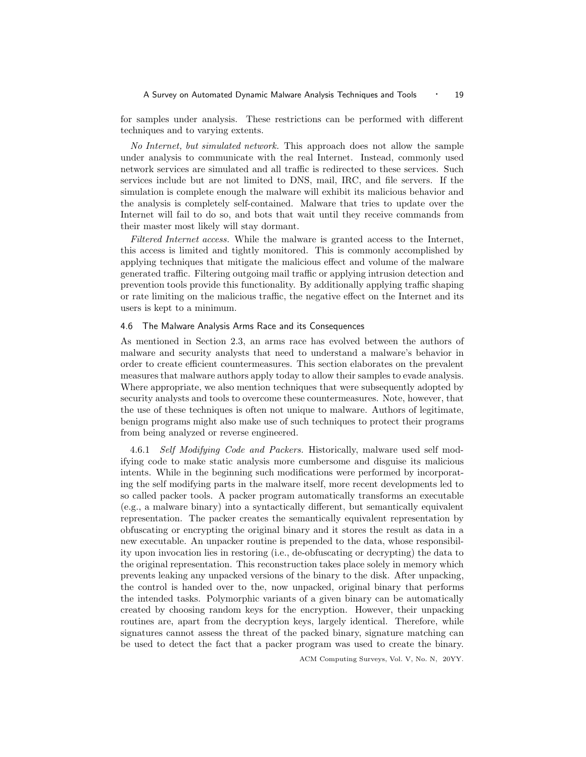for samples under analysis. These restrictions can be performed with different techniques and to varying extents.

*No Internet, but simulated network.* This approach does not allow the sample under analysis to communicate with the real Internet. Instead, commonly used network services are simulated and all traffic is redirected to these services. Such services include but are not limited to DNS, mail, IRC, and file servers. If the simulation is complete enough the malware will exhibit its malicious behavior and the analysis is completely self-contained. Malware that tries to update over the Internet will fail to do so, and bots that wait until they receive commands from their master most likely will stay dormant.

*Filtered Internet access.* While the malware is granted access to the Internet, this access is limited and tightly monitored. This is commonly accomplished by applying techniques that mitigate the malicious effect and volume of the malware generated traffic. Filtering outgoing mail traffic or applying intrusion detection and prevention tools provide this functionality. By additionally applying traffic shaping or rate limiting on the malicious traffic, the negative effect on the Internet and its users is kept to a minimum.

#### 4.6 The Malware Analysis Arms Race and its Consequences

As mentioned in Section 2.3, an arms race has evolved between the authors of malware and security analysts that need to understand a malware's behavior in order to create efficient countermeasures. This section elaborates on the prevalent measures that malware authors apply today to allow their samples to evade analysis. Where appropriate, we also mention techniques that were subsequently adopted by security analysts and tools to overcome these countermeasures. Note, however, that the use of these techniques is often not unique to malware. Authors of legitimate, benign programs might also make use of such techniques to protect their programs from being analyzed or reverse engineered.

4.6.1 *Self Modifying Code and Packers.* Historically, malware used self modifying code to make static analysis more cumbersome and disguise its malicious intents. While in the beginning such modifications were performed by incorporating the self modifying parts in the malware itself, more recent developments led to so called packer tools. A packer program automatically transforms an executable (e.g., a malware binary) into a syntactically different, but semantically equivalent representation. The packer creates the semantically equivalent representation by obfuscating or encrypting the original binary and it stores the result as data in a new executable. An unpacker routine is prepended to the data, whose responsibility upon invocation lies in restoring (i.e., de-obfuscating or decrypting) the data to the original representation. This reconstruction takes place solely in memory which prevents leaking any unpacked versions of the binary to the disk. After unpacking, the control is handed over to the, now unpacked, original binary that performs the intended tasks. Polymorphic variants of a given binary can be automatically created by choosing random keys for the encryption. However, their unpacking routines are, apart from the decryption keys, largely identical. Therefore, while signatures cannot assess the threat of the packed binary, signature matching can be used to detect the fact that a packer program was used to create the binary.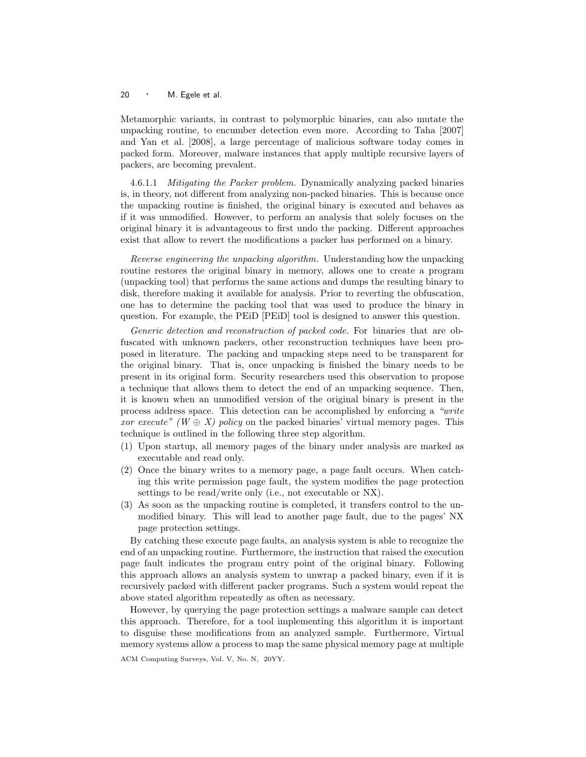Metamorphic variants, in contrast to polymorphic binaries, can also mutate the unpacking routine, to encumber detection even more. According to Taha [2007] and Yan et al. [2008], a large percentage of malicious software today comes in packed form. Moreover, malware instances that apply multiple recursive layers of packers, are becoming prevalent.

4.6.1.1 *Mitigating the Packer problem.* Dynamically analyzing packed binaries is, in theory, not different from analyzing non-packed binaries. This is because once the unpacking routine is finished, the original binary is executed and behaves as if it was unmodified. However, to perform an analysis that solely focuses on the original binary it is advantageous to first undo the packing. Different approaches exist that allow to revert the modifications a packer has performed on a binary.

*Reverse engineering the unpacking algorithm.* Understanding how the unpacking routine restores the original binary in memory, allows one to create a program (unpacking tool) that performs the same actions and dumps the resulting binary to disk, therefore making it available for analysis. Prior to reverting the obfuscation, one has to determine the packing tool that was used to produce the binary in question. For example, the PEiD [PEiD] tool is designed to answer this question.

*Generic detection and reconstruction of packed code.* For binaries that are obfuscated with unknown packers, other reconstruction techniques have been proposed in literature. The packing and unpacking steps need to be transparent for the original binary. That is, once unpacking is finished the binary needs to be present in its original form. Security researchers used this observation to propose a technique that allows them to detect the end of an unpacking sequence. Then, it is known when an unmodified version of the original binary is present in the process address space. This detection can be accomplished by enforcing a *"write xor execute" (W*  $\oplus$  *X) policy* on the packed binaries' virtual memory pages. This technique is outlined in the following three step algorithm.

- (1) Upon startup, all memory pages of the binary under analysis are marked as executable and read only.
- (2) Once the binary writes to a memory page, a page fault occurs. When catching this write permission page fault, the system modifies the page protection settings to be read/write only (i.e., not executable or NX).
- (3) As soon as the unpacking routine is completed, it transfers control to the unmodified binary. This will lead to another page fault, due to the pages' NX page protection settings.

By catching these execute page faults, an analysis system is able to recognize the end of an unpacking routine. Furthermore, the instruction that raised the execution page fault indicates the program entry point of the original binary. Following this approach allows an analysis system to unwrap a packed binary, even if it is recursively packed with different packer programs. Such a system would repeat the above stated algorithm repeatedly as often as necessary.

However, by querying the page protection settings a malware sample can detect this approach. Therefore, for a tool implementing this algorithm it is important to disguise these modifications from an analyzed sample. Furthermore, Virtual memory systems allow a process to map the same physical memory page at multiple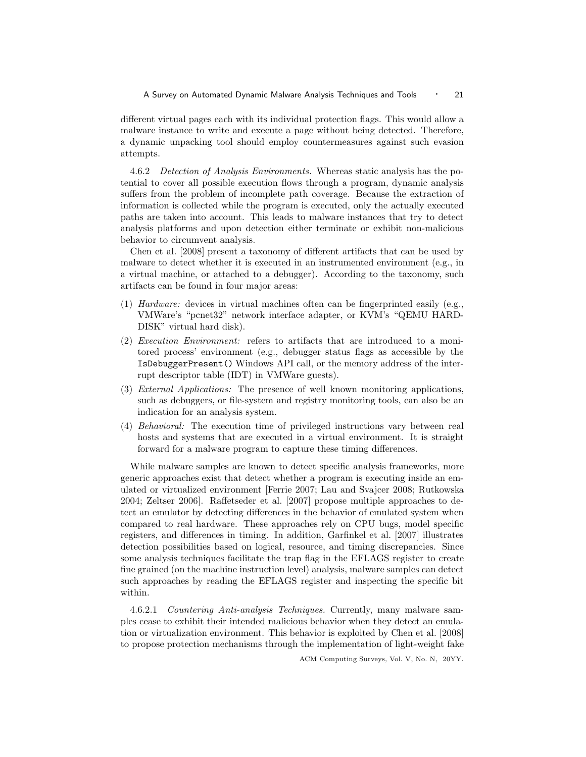different virtual pages each with its individual protection flags. This would allow a malware instance to write and execute a page without being detected. Therefore, a dynamic unpacking tool should employ countermeasures against such evasion attempts.

4.6.2 *Detection of Analysis Environments.* Whereas static analysis has the potential to cover all possible execution flows through a program, dynamic analysis suffers from the problem of incomplete path coverage. Because the extraction of information is collected while the program is executed, only the actually executed paths are taken into account. This leads to malware instances that try to detect analysis platforms and upon detection either terminate or exhibit non-malicious behavior to circumvent analysis.

Chen et al. [2008] present a taxonomy of different artifacts that can be used by malware to detect whether it is executed in an instrumented environment (e.g., in a virtual machine, or attached to a debugger). According to the taxonomy, such artifacts can be found in four major areas:

- (1) *Hardware:* devices in virtual machines often can be fingerprinted easily (e.g., VMWare's "pcnet32" network interface adapter, or KVM's "QEMU HARD-DISK" virtual hard disk).
- (2) *Execution Environment:* refers to artifacts that are introduced to a monitored process' environment (e.g., debugger status flags as accessible by the IsDebuggerPresent() Windows API call, or the memory address of the interrupt descriptor table (IDT) in VMWare guests).
- (3) *External Applications:* The presence of well known monitoring applications, such as debuggers, or file-system and registry monitoring tools, can also be an indication for an analysis system.
- (4) *Behavioral:* The execution time of privileged instructions vary between real hosts and systems that are executed in a virtual environment. It is straight forward for a malware program to capture these timing differences.

While malware samples are known to detect specific analysis frameworks, more generic approaches exist that detect whether a program is executing inside an emulated or virtualized environment [Ferrie 2007; Lau and Svajcer 2008; Rutkowska 2004; Zeltser 2006]. Raffetseder et al. [2007] propose multiple approaches to detect an emulator by detecting differences in the behavior of emulated system when compared to real hardware. These approaches rely on CPU bugs, model specific registers, and differences in timing. In addition, Garfinkel et al. [2007] illustrates detection possibilities based on logical, resource, and timing discrepancies. Since some analysis techniques facilitate the trap flag in the EFLAGS register to create fine grained (on the machine instruction level) analysis, malware samples can detect such approaches by reading the EFLAGS register and inspecting the specific bit within.

4.6.2.1 *Countering Anti-analysis Techniques.* Currently, many malware samples cease to exhibit their intended malicious behavior when they detect an emulation or virtualization environment. This behavior is exploited by Chen et al. [2008] to propose protection mechanisms through the implementation of light-weight fake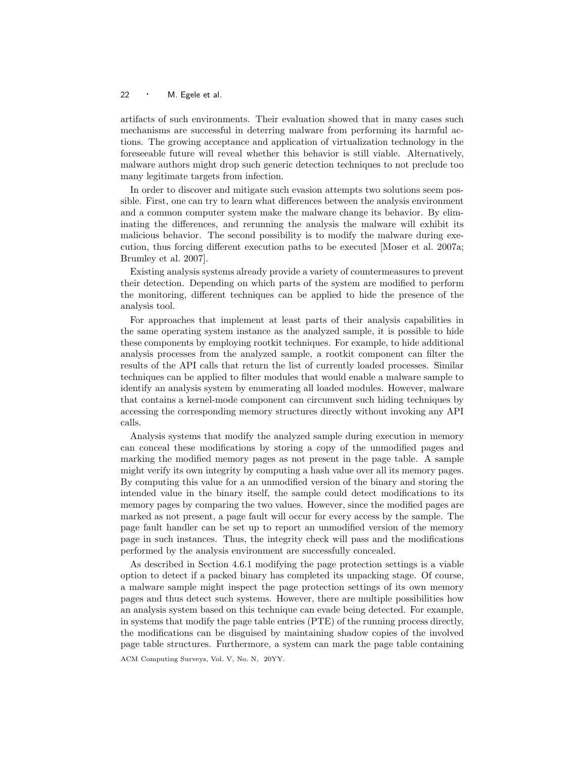artifacts of such environments. Their evaluation showed that in many cases such mechanisms are successful in deterring malware from performing its harmful actions. The growing acceptance and application of virtualization technology in the foreseeable future will reveal whether this behavior is still viable. Alternatively, malware authors might drop such generic detection techniques to not preclude too many legitimate targets from infection.

In order to discover and mitigate such evasion attempts two solutions seem possible. First, one can try to learn what differences between the analysis environment and a common computer system make the malware change its behavior. By eliminating the differences, and rerunning the analysis the malware will exhibit its malicious behavior. The second possibility is to modify the malware during execution, thus forcing different execution paths to be executed [Moser et al. 2007a; Brumley et al. 2007].

Existing analysis systems already provide a variety of countermeasures to prevent their detection. Depending on which parts of the system are modified to perform the monitoring, different techniques can be applied to hide the presence of the analysis tool.

For approaches that implement at least parts of their analysis capabilities in the same operating system instance as the analyzed sample, it is possible to hide these components by employing rootkit techniques. For example, to hide additional analysis processes from the analyzed sample, a rootkit component can filter the results of the API calls that return the list of currently loaded processes. Similar techniques can be applied to filter modules that would enable a malware sample to identify an analysis system by enumerating all loaded modules. However, malware that contains a kernel-mode component can circumvent such hiding techniques by accessing the corresponding memory structures directly without invoking any API calls.

Analysis systems that modify the analyzed sample during execution in memory can conceal these modifications by storing a copy of the unmodified pages and marking the modified memory pages as not present in the page table. A sample might verify its own integrity by computing a hash value over all its memory pages. By computing this value for a an unmodified version of the binary and storing the intended value in the binary itself, the sample could detect modifications to its memory pages by comparing the two values. However, since the modified pages are marked as not present, a page fault will occur for every access by the sample. The page fault handler can be set up to report an unmodified version of the memory page in such instances. Thus, the integrity check will pass and the modifications performed by the analysis environment are successfully concealed.

As described in Section 4.6.1 modifying the page protection settings is a viable option to detect if a packed binary has completed its unpacking stage. Of course, a malware sample might inspect the page protection settings of its own memory pages and thus detect such systems. However, there are multiple possibilities how an analysis system based on this technique can evade being detected. For example, in systems that modify the page table entries (PTE) of the running process directly, the modifications can be disguised by maintaining shadow copies of the involved page table structures. Furthermore, a system can mark the page table containing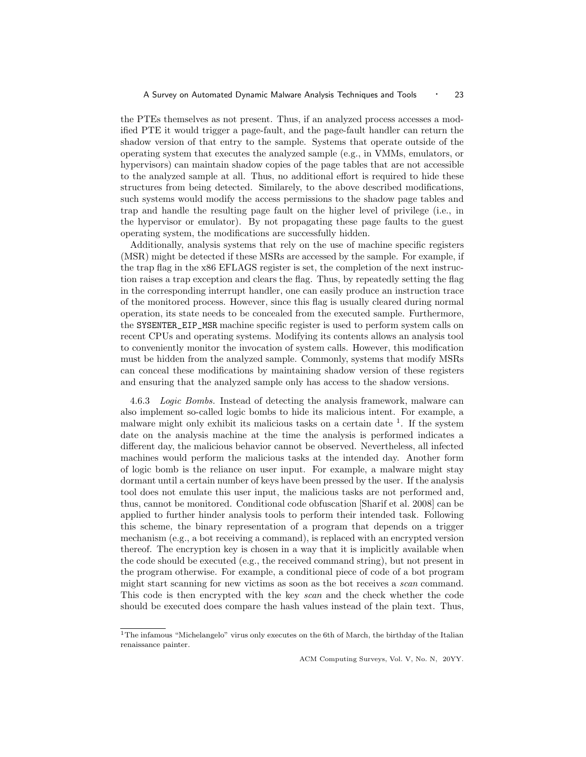the PTEs themselves as not present. Thus, if an analyzed process accesses a modified PTE it would trigger a page-fault, and the page-fault handler can return the shadow version of that entry to the sample. Systems that operate outside of the operating system that executes the analyzed sample (e.g., in VMMs, emulators, or hypervisors) can maintain shadow copies of the page tables that are not accessible to the analyzed sample at all. Thus, no additional effort is required to hide these structures from being detected. Similarely, to the above described modifications, such systems would modify the access permissions to the shadow page tables and trap and handle the resulting page fault on the higher level of privilege (i.e., in the hypervisor or emulator). By not propagating these page faults to the guest operating system, the modifications are successfully hidden.

Additionally, analysis systems that rely on the use of machine specific registers (MSR) might be detected if these MSRs are accessed by the sample. For example, if the trap flag in the x86 EFLAGS register is set, the completion of the next instruction raises a trap exception and clears the flag. Thus, by repeatedly setting the flag in the corresponding interrupt handler, one can easily produce an instruction trace of the monitored process. However, since this flag is usually cleared during normal operation, its state needs to be concealed from the executed sample. Furthermore, the SYSENTER\_EIP\_MSR machine specific register is used to perform system calls on recent CPUs and operating systems. Modifying its contents allows an analysis tool to conveniently monitor the invocation of system calls. However, this modification must be hidden from the analyzed sample. Commonly, systems that modify MSRs can conceal these modifications by maintaining shadow version of these registers and ensuring that the analyzed sample only has access to the shadow versions.

4.6.3 *Logic Bombs.* Instead of detecting the analysis framework, malware can also implement so-called logic bombs to hide its malicious intent. For example, a malware might only exhibit its malicious tasks on a certain date <sup>1</sup>. If the system date on the analysis machine at the time the analysis is performed indicates a different day, the malicious behavior cannot be observed. Nevertheless, all infected machines would perform the malicious tasks at the intended day. Another form of logic bomb is the reliance on user input. For example, a malware might stay dormant until a certain number of keys have been pressed by the user. If the analysis tool does not emulate this user input, the malicious tasks are not performed and, thus, cannot be monitored. Conditional code obfuscation [Sharif et al. 2008] can be applied to further hinder analysis tools to perform their intended task. Following this scheme, the binary representation of a program that depends on a trigger mechanism (e.g., a bot receiving a command), is replaced with an encrypted version thereof. The encryption key is chosen in a way that it is implicitly available when the code should be executed (e.g., the received command string), but not present in the program otherwise. For example, a conditional piece of code of a bot program might start scanning for new victims as soon as the bot receives a *scan* command. This code is then encrypted with the key *scan* and the check whether the code should be executed does compare the hash values instead of the plain text. Thus,

 $^1\mathrm{The}$  infamous "Michelangelo" virus only executes on the 6th of March, the birthday of the Italian renaissance painter.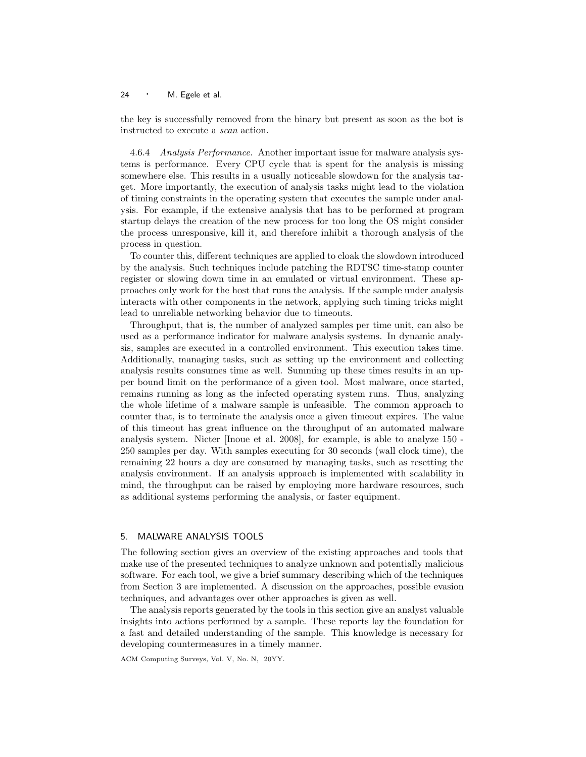the key is successfully removed from the binary but present as soon as the bot is instructed to execute a *scan* action.

4.6.4 *Analysis Performance.* Another important issue for malware analysis systems is performance. Every CPU cycle that is spent for the analysis is missing somewhere else. This results in a usually noticeable slowdown for the analysis target. More importantly, the execution of analysis tasks might lead to the violation of timing constraints in the operating system that executes the sample under analysis. For example, if the extensive analysis that has to be performed at program startup delays the creation of the new process for too long the OS might consider the process unresponsive, kill it, and therefore inhibit a thorough analysis of the process in question.

To counter this, different techniques are applied to cloak the slowdown introduced by the analysis. Such techniques include patching the RDTSC time-stamp counter register or slowing down time in an emulated or virtual environment. These approaches only work for the host that runs the analysis. If the sample under analysis interacts with other components in the network, applying such timing tricks might lead to unreliable networking behavior due to timeouts.

Throughput, that is, the number of analyzed samples per time unit, can also be used as a performance indicator for malware analysis systems. In dynamic analysis, samples are executed in a controlled environment. This execution takes time. Additionally, managing tasks, such as setting up the environment and collecting analysis results consumes time as well. Summing up these times results in an upper bound limit on the performance of a given tool. Most malware, once started, remains running as long as the infected operating system runs. Thus, analyzing the whole lifetime of a malware sample is unfeasible. The common approach to counter that, is to terminate the analysis once a given timeout expires. The value of this timeout has great influence on the throughput of an automated malware analysis system. Nicter [Inoue et al. 2008], for example, is able to analyze 150 - 250 samples per day. With samples executing for 30 seconds (wall clock time), the remaining 22 hours a day are consumed by managing tasks, such as resetting the analysis environment. If an analysis approach is implemented with scalability in mind, the throughput can be raised by employing more hardware resources, such as additional systems performing the analysis, or faster equipment.

#### 5. MALWARE ANALYSIS TOOLS

The following section gives an overview of the existing approaches and tools that make use of the presented techniques to analyze unknown and potentially malicious software. For each tool, we give a brief summary describing which of the techniques from Section 3 are implemented. A discussion on the approaches, possible evasion techniques, and advantages over other approaches is given as well.

The analysis reports generated by the tools in this section give an analyst valuable insights into actions performed by a sample. These reports lay the foundation for a fast and detailed understanding of the sample. This knowledge is necessary for developing countermeasures in a timely manner.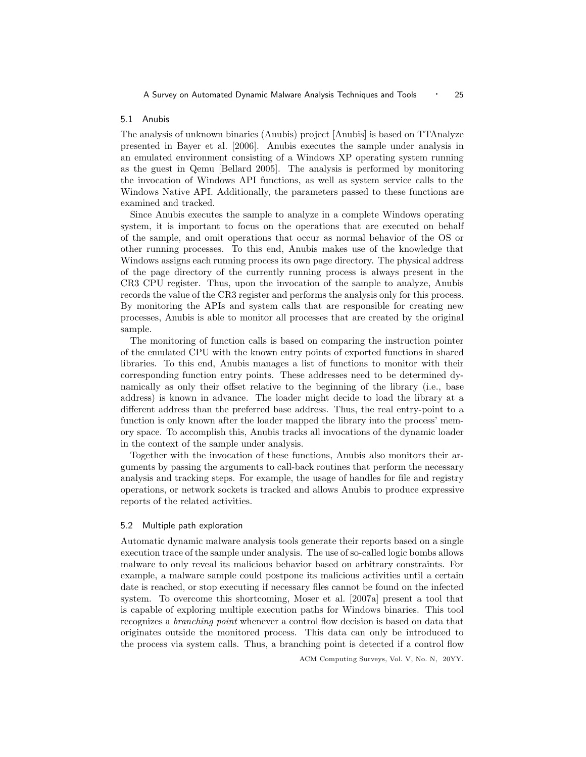#### 5.1 Anubis

The analysis of unknown binaries (Anubis) project [Anubis] is based on TTAnalyze presented in Bayer et al. [2006]. Anubis executes the sample under analysis in an emulated environment consisting of a Windows XP operating system running as the guest in Qemu [Bellard 2005]. The analysis is performed by monitoring the invocation of Windows API functions, as well as system service calls to the Windows Native API. Additionally, the parameters passed to these functions are examined and tracked.

Since Anubis executes the sample to analyze in a complete Windows operating system, it is important to focus on the operations that are executed on behalf of the sample, and omit operations that occur as normal behavior of the OS or other running processes. To this end, Anubis makes use of the knowledge that Windows assigns each running process its own page directory. The physical address of the page directory of the currently running process is always present in the CR3 CPU register. Thus, upon the invocation of the sample to analyze, Anubis records the value of the CR3 register and performs the analysis only for this process. By monitoring the APIs and system calls that are responsible for creating new processes, Anubis is able to monitor all processes that are created by the original sample.

The monitoring of function calls is based on comparing the instruction pointer of the emulated CPU with the known entry points of exported functions in shared libraries. To this end, Anubis manages a list of functions to monitor with their corresponding function entry points. These addresses need to be determined dynamically as only their offset relative to the beginning of the library (i.e., base address) is known in advance. The loader might decide to load the library at a different address than the preferred base address. Thus, the real entry-point to a function is only known after the loader mapped the library into the process' memory space. To accomplish this, Anubis tracks all invocations of the dynamic loader in the context of the sample under analysis.

Together with the invocation of these functions, Anubis also monitors their arguments by passing the arguments to call-back routines that perform the necessary analysis and tracking steps. For example, the usage of handles for file and registry operations, or network sockets is tracked and allows Anubis to produce expressive reports of the related activities.

#### 5.2 Multiple path exploration

Automatic dynamic malware analysis tools generate their reports based on a single execution trace of the sample under analysis. The use of so-called logic bombs allows malware to only reveal its malicious behavior based on arbitrary constraints. For example, a malware sample could postpone its malicious activities until a certain date is reached, or stop executing if necessary files cannot be found on the infected system. To overcome this shortcoming, Moser et al. [2007a] present a tool that is capable of exploring multiple execution paths for Windows binaries. This tool recognizes a *branching point* whenever a control flow decision is based on data that originates outside the monitored process. This data can only be introduced to the process via system calls. Thus, a branching point is detected if a control flow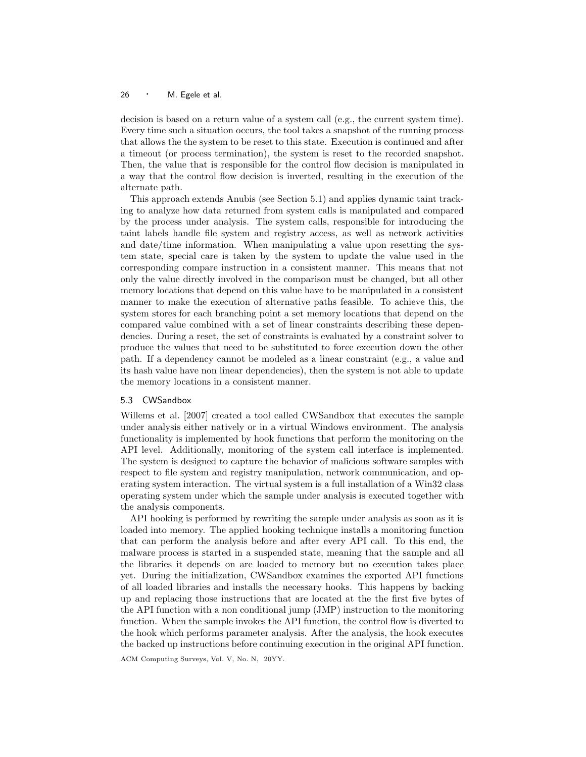decision is based on a return value of a system call (e.g., the current system time). Every time such a situation occurs, the tool takes a snapshot of the running process that allows the the system to be reset to this state. Execution is continued and after a timeout (or process termination), the system is reset to the recorded snapshot. Then, the value that is responsible for the control flow decision is manipulated in a way that the control flow decision is inverted, resulting in the execution of the alternate path.

This approach extends Anubis (see Section 5.1) and applies dynamic taint tracking to analyze how data returned from system calls is manipulated and compared by the process under analysis. The system calls, responsible for introducing the taint labels handle file system and registry access, as well as network activities and date/time information. When manipulating a value upon resetting the system state, special care is taken by the system to update the value used in the corresponding compare instruction in a consistent manner. This means that not only the value directly involved in the comparison must be changed, but all other memory locations that depend on this value have to be manipulated in a consistent manner to make the execution of alternative paths feasible. To achieve this, the system stores for each branching point a set memory locations that depend on the compared value combined with a set of linear constraints describing these dependencies. During a reset, the set of constraints is evaluated by a constraint solver to produce the values that need to be substituted to force execution down the other path. If a dependency cannot be modeled as a linear constraint (e.g., a value and its hash value have non linear dependencies), then the system is not able to update the memory locations in a consistent manner.

## 5.3 CWSandbox

Willems et al. [2007] created a tool called CWSandbox that executes the sample under analysis either natively or in a virtual Windows environment. The analysis functionality is implemented by hook functions that perform the monitoring on the API level. Additionally, monitoring of the system call interface is implemented. The system is designed to capture the behavior of malicious software samples with respect to file system and registry manipulation, network communication, and operating system interaction. The virtual system is a full installation of a Win32 class operating system under which the sample under analysis is executed together with the analysis components.

API hooking is performed by rewriting the sample under analysis as soon as it is loaded into memory. The applied hooking technique installs a monitoring function that can perform the analysis before and after every API call. To this end, the malware process is started in a suspended state, meaning that the sample and all the libraries it depends on are loaded to memory but no execution takes place yet. During the initialization, CWSandbox examines the exported API functions of all loaded libraries and installs the necessary hooks. This happens by backing up and replacing those instructions that are located at the the first five bytes of the API function with a non conditional jump (JMP) instruction to the monitoring function. When the sample invokes the API function, the control flow is diverted to the hook which performs parameter analysis. After the analysis, the hook executes the backed up instructions before continuing execution in the original API function.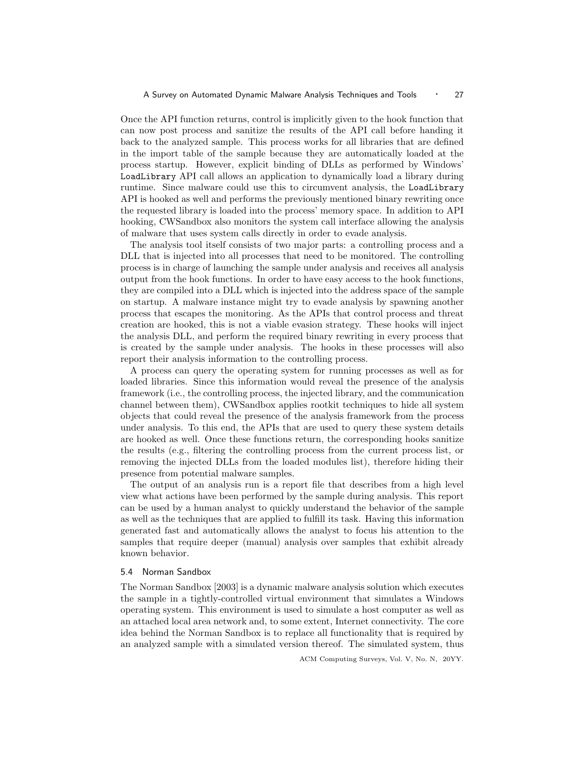Once the API function returns, control is implicitly given to the hook function that can now post process and sanitize the results of the API call before handing it back to the analyzed sample. This process works for all libraries that are defined in the import table of the sample because they are automatically loaded at the process startup. However, explicit binding of DLLs as performed by Windows' LoadLibrary API call allows an application to dynamically load a library during runtime. Since malware could use this to circumvent analysis, the LoadLibrary API is hooked as well and performs the previously mentioned binary rewriting once the requested library is loaded into the process' memory space. In addition to API hooking, CWSandbox also monitors the system call interface allowing the analysis of malware that uses system calls directly in order to evade analysis.

The analysis tool itself consists of two major parts: a controlling process and a DLL that is injected into all processes that need to be monitored. The controlling process is in charge of launching the sample under analysis and receives all analysis output from the hook functions. In order to have easy access to the hook functions, they are compiled into a DLL which is injected into the address space of the sample on startup. A malware instance might try to evade analysis by spawning another process that escapes the monitoring. As the APIs that control process and threat creation are hooked, this is not a viable evasion strategy. These hooks will inject the analysis DLL, and perform the required binary rewriting in every process that is created by the sample under analysis. The hooks in these processes will also report their analysis information to the controlling process.

A process can query the operating system for running processes as well as for loaded libraries. Since this information would reveal the presence of the analysis framework (i.e., the controlling process, the injected library, and the communication channel between them), CWSandbox applies rootkit techniques to hide all system objects that could reveal the presence of the analysis framework from the process under analysis. To this end, the APIs that are used to query these system details are hooked as well. Once these functions return, the corresponding hooks sanitize the results (e.g., filtering the controlling process from the current process list, or removing the injected DLLs from the loaded modules list), therefore hiding their presence from potential malware samples.

The output of an analysis run is a report file that describes from a high level view what actions have been performed by the sample during analysis. This report can be used by a human analyst to quickly understand the behavior of the sample as well as the techniques that are applied to fulfill its task. Having this information generated fast and automatically allows the analyst to focus his attention to the samples that require deeper (manual) analysis over samples that exhibit already known behavior.

#### 5.4 Norman Sandbox

The Norman Sandbox [2003] is a dynamic malware analysis solution which executes the sample in a tightly-controlled virtual environment that simulates a Windows operating system. This environment is used to simulate a host computer as well as an attached local area network and, to some extent, Internet connectivity. The core idea behind the Norman Sandbox is to replace all functionality that is required by an analyzed sample with a simulated version thereof. The simulated system, thus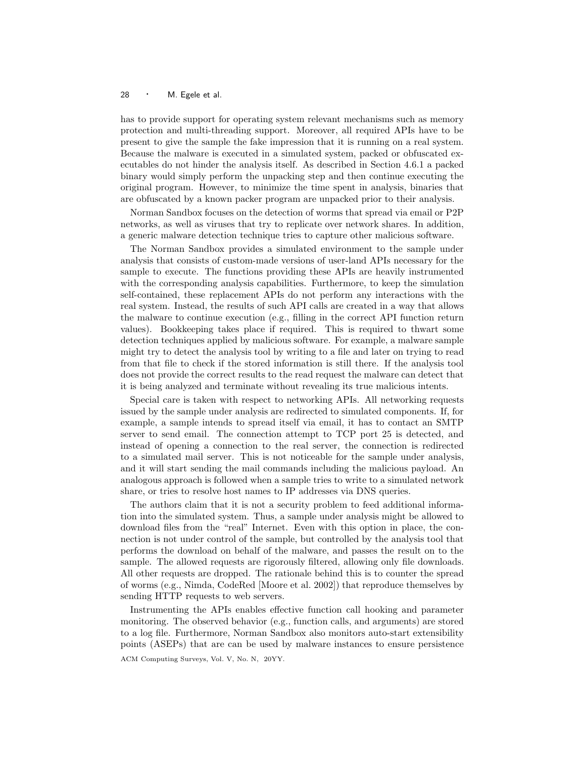has to provide support for operating system relevant mechanisms such as memory protection and multi-threading support. Moreover, all required APIs have to be present to give the sample the fake impression that it is running on a real system. Because the malware is executed in a simulated system, packed or obfuscated executables do not hinder the analysis itself. As described in Section 4.6.1 a packed binary would simply perform the unpacking step and then continue executing the original program. However, to minimize the time spent in analysis, binaries that are obfuscated by a known packer program are unpacked prior to their analysis.

Norman Sandbox focuses on the detection of worms that spread via email or P2P networks, as well as viruses that try to replicate over network shares. In addition, a generic malware detection technique tries to capture other malicious software.

The Norman Sandbox provides a simulated environment to the sample under analysis that consists of custom-made versions of user-land APIs necessary for the sample to execute. The functions providing these APIs are heavily instrumented with the corresponding analysis capabilities. Furthermore, to keep the simulation self-contained, these replacement APIs do not perform any interactions with the real system. Instead, the results of such API calls are created in a way that allows the malware to continue execution (e.g., filling in the correct API function return values). Bookkeeping takes place if required. This is required to thwart some detection techniques applied by malicious software. For example, a malware sample might try to detect the analysis tool by writing to a file and later on trying to read from that file to check if the stored information is still there. If the analysis tool does not provide the correct results to the read request the malware can detect that it is being analyzed and terminate without revealing its true malicious intents.

Special care is taken with respect to networking APIs. All networking requests issued by the sample under analysis are redirected to simulated components. If, for example, a sample intends to spread itself via email, it has to contact an SMTP server to send email. The connection attempt to TCP port 25 is detected, and instead of opening a connection to the real server, the connection is redirected to a simulated mail server. This is not noticeable for the sample under analysis, and it will start sending the mail commands including the malicious payload. An analogous approach is followed when a sample tries to write to a simulated network share, or tries to resolve host names to IP addresses via DNS queries.

The authors claim that it is not a security problem to feed additional information into the simulated system. Thus, a sample under analysis might be allowed to download files from the "real" Internet. Even with this option in place, the connection is not under control of the sample, but controlled by the analysis tool that performs the download on behalf of the malware, and passes the result on to the sample. The allowed requests are rigorously filtered, allowing only file downloads. All other requests are dropped. The rationale behind this is to counter the spread of worms (e.g., Nimda, CodeRed [Moore et al. 2002]) that reproduce themselves by sending HTTP requests to web servers.

Instrumenting the APIs enables effective function call hooking and parameter monitoring. The observed behavior (e.g., function calls, and arguments) are stored to a log file. Furthermore, Norman Sandbox also monitors auto-start extensibility points (ASEPs) that are can be used by malware instances to ensure persistence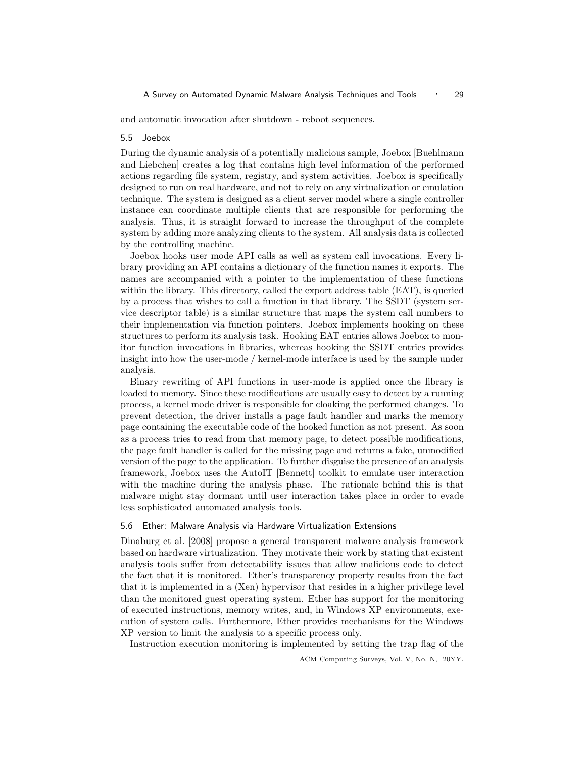and automatic invocation after shutdown - reboot sequences.

#### 5.5 Joebox

During the dynamic analysis of a potentially malicious sample, Joebox [Buehlmann and Liebchen] creates a log that contains high level information of the performed actions regarding file system, registry, and system activities. Joebox is specifically designed to run on real hardware, and not to rely on any virtualization or emulation technique. The system is designed as a client server model where a single controller instance can coordinate multiple clients that are responsible for performing the analysis. Thus, it is straight forward to increase the throughput of the complete system by adding more analyzing clients to the system. All analysis data is collected by the controlling machine.

Joebox hooks user mode API calls as well as system call invocations. Every library providing an API contains a dictionary of the function names it exports. The names are accompanied with a pointer to the implementation of these functions within the library. This directory, called the export address table (EAT), is queried by a process that wishes to call a function in that library. The SSDT (system service descriptor table) is a similar structure that maps the system call numbers to their implementation via function pointers. Joebox implements hooking on these structures to perform its analysis task. Hooking EAT entries allows Joebox to monitor function invocations in libraries, whereas hooking the SSDT entries provides insight into how the user-mode / kernel-mode interface is used by the sample under analysis.

Binary rewriting of API functions in user-mode is applied once the library is loaded to memory. Since these modifications are usually easy to detect by a running process, a kernel mode driver is responsible for cloaking the performed changes. To prevent detection, the driver installs a page fault handler and marks the memory page containing the executable code of the hooked function as not present. As soon as a process tries to read from that memory page, to detect possible modifications, the page fault handler is called for the missing page and returns a fake, unmodified version of the page to the application. To further disguise the presence of an analysis framework, Joebox uses the AutoIT [Bennett] toolkit to emulate user interaction with the machine during the analysis phase. The rationale behind this is that malware might stay dormant until user interaction takes place in order to evade less sophisticated automated analysis tools.

#### 5.6 Ether: Malware Analysis via Hardware Virtualization Extensions

Dinaburg et al. [2008] propose a general transparent malware analysis framework based on hardware virtualization. They motivate their work by stating that existent analysis tools suffer from detectability issues that allow malicious code to detect the fact that it is monitored. Ether's transparency property results from the fact that it is implemented in a (Xen) hypervisor that resides in a higher privilege level than the monitored guest operating system. Ether has support for the monitoring of executed instructions, memory writes, and, in Windows XP environments, execution of system calls. Furthermore, Ether provides mechanisms for the Windows XP version to limit the analysis to a specific process only.

Instruction execution monitoring is implemented by setting the trap flag of the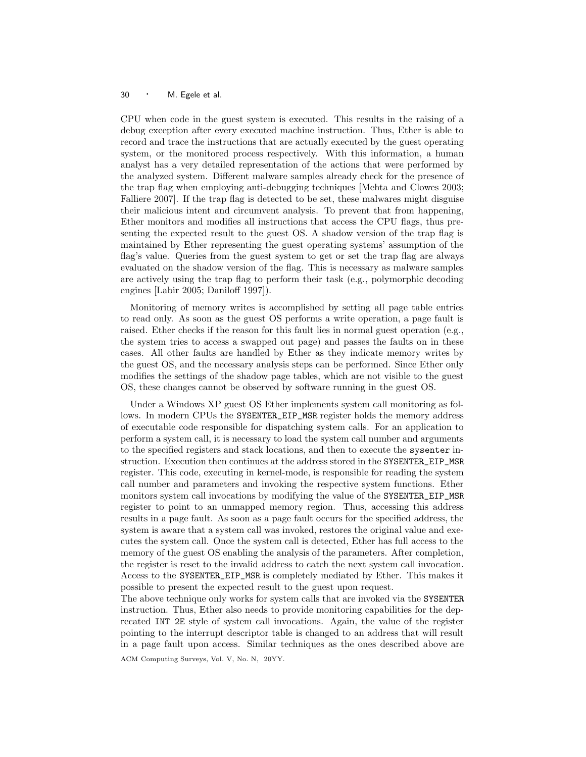CPU when code in the guest system is executed. This results in the raising of a debug exception after every executed machine instruction. Thus, Ether is able to record and trace the instructions that are actually executed by the guest operating system, or the monitored process respectively. With this information, a human analyst has a very detailed representation of the actions that were performed by the analyzed system. Different malware samples already check for the presence of the trap flag when employing anti-debugging techniques [Mehta and Clowes 2003; Falliere 2007]. If the trap flag is detected to be set, these malwares might disguise their malicious intent and circumvent analysis. To prevent that from happening, Ether monitors and modifies all instructions that access the CPU flags, thus presenting the expected result to the guest OS. A shadow version of the trap flag is maintained by Ether representing the guest operating systems' assumption of the flag's value. Queries from the guest system to get or set the trap flag are always evaluated on the shadow version of the flag. This is necessary as malware samples are actively using the trap flag to perform their task (e.g., polymorphic decoding engines [Labir 2005; Daniloff 1997]).

Monitoring of memory writes is accomplished by setting all page table entries to read only. As soon as the guest OS performs a write operation, a page fault is raised. Ether checks if the reason for this fault lies in normal guest operation (e.g., the system tries to access a swapped out page) and passes the faults on in these cases. All other faults are handled by Ether as they indicate memory writes by the guest OS, and the necessary analysis steps can be performed. Since Ether only modifies the settings of the shadow page tables, which are not visible to the guest OS, these changes cannot be observed by software running in the guest OS.

Under a Windows XP guest OS Ether implements system call monitoring as follows. In modern CPUs the SYSENTER\_EIP\_MSR register holds the memory address of executable code responsible for dispatching system calls. For an application to perform a system call, it is necessary to load the system call number and arguments to the specified registers and stack locations, and then to execute the sysenter instruction. Execution then continues at the address stored in the SYSENTER\_EIP\_MSR register. This code, executing in kernel-mode, is responsible for reading the system call number and parameters and invoking the respective system functions. Ether monitors system call invocations by modifying the value of the SYSENTER\_EIP\_MSR register to point to an unmapped memory region. Thus, accessing this address results in a page fault. As soon as a page fault occurs for the specified address, the system is aware that a system call was invoked, restores the original value and executes the system call. Once the system call is detected, Ether has full access to the memory of the guest OS enabling the analysis of the parameters. After completion, the register is reset to the invalid address to catch the next system call invocation. Access to the SYSENTER\_EIP\_MSR is completely mediated by Ether. This makes it possible to present the expected result to the guest upon request.

The above technique only works for system calls that are invoked via the SYSENTER instruction. Thus, Ether also needs to provide monitoring capabilities for the deprecated INT 2E style of system call invocations. Again, the value of the register pointing to the interrupt descriptor table is changed to an address that will result in a page fault upon access. Similar techniques as the ones described above are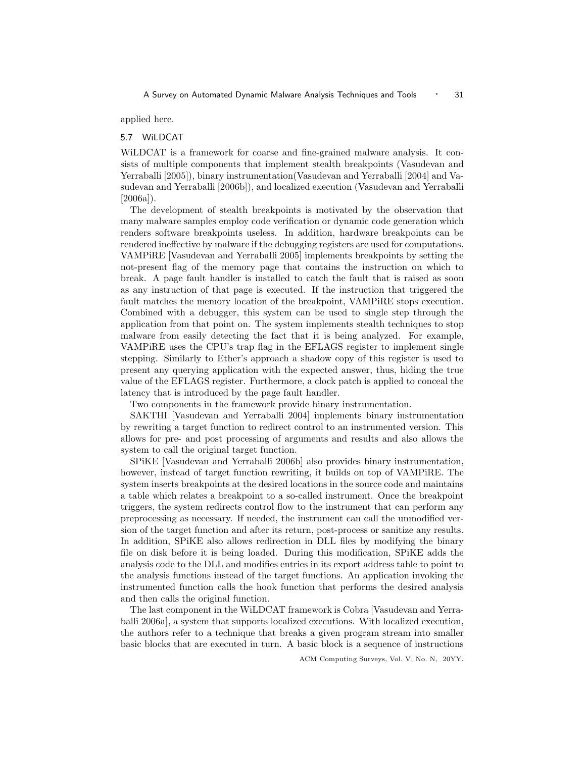applied here.

# 5.7 WiLDCAT

WiLDCAT is a framework for coarse and fine-grained malware analysis. It consists of multiple components that implement stealth breakpoints (Vasudevan and Yerraballi [2005]), binary instrumentation(Vasudevan and Yerraballi [2004] and Vasudevan and Yerraballi [2006b]), and localized execution (Vasudevan and Yerraballi  $[2006a]$ ).

The development of stealth breakpoints is motivated by the observation that many malware samples employ code verification or dynamic code generation which renders software breakpoints useless. In addition, hardware breakpoints can be rendered ineffective by malware if the debugging registers are used for computations. VAMPiRE [Vasudevan and Yerraballi 2005] implements breakpoints by setting the not-present flag of the memory page that contains the instruction on which to break. A page fault handler is installed to catch the fault that is raised as soon as any instruction of that page is executed. If the instruction that triggered the fault matches the memory location of the breakpoint, VAMPiRE stops execution. Combined with a debugger, this system can be used to single step through the application from that point on. The system implements stealth techniques to stop malware from easily detecting the fact that it is being analyzed. For example, VAMPiRE uses the CPU's trap flag in the EFLAGS register to implement single stepping. Similarly to Ether's approach a shadow copy of this register is used to present any querying application with the expected answer, thus, hiding the true value of the EFLAGS register. Furthermore, a clock patch is applied to conceal the latency that is introduced by the page fault handler.

Two components in the framework provide binary instrumentation.

SAKTHI [Vasudevan and Yerraballi 2004] implements binary instrumentation by rewriting a target function to redirect control to an instrumented version. This allows for pre- and post processing of arguments and results and also allows the system to call the original target function.

SPiKE [Vasudevan and Yerraballi 2006b] also provides binary instrumentation, however, instead of target function rewriting, it builds on top of VAMPiRE. The system inserts breakpoints at the desired locations in the source code and maintains a table which relates a breakpoint to a so-called instrument. Once the breakpoint triggers, the system redirects control flow to the instrument that can perform any preprocessing as necessary. If needed, the instrument can call the unmodified version of the target function and after its return, post-process or sanitize any results. In addition, SPiKE also allows redirection in DLL files by modifying the binary file on disk before it is being loaded. During this modification, SPiKE adds the analysis code to the DLL and modifies entries in its export address table to point to the analysis functions instead of the target functions. An application invoking the instrumented function calls the hook function that performs the desired analysis and then calls the original function.

The last component in the WiLDCAT framework is Cobra [Vasudevan and Yerraballi 2006a], a system that supports localized executions. With localized execution, the authors refer to a technique that breaks a given program stream into smaller basic blocks that are executed in turn. A basic block is a sequence of instructions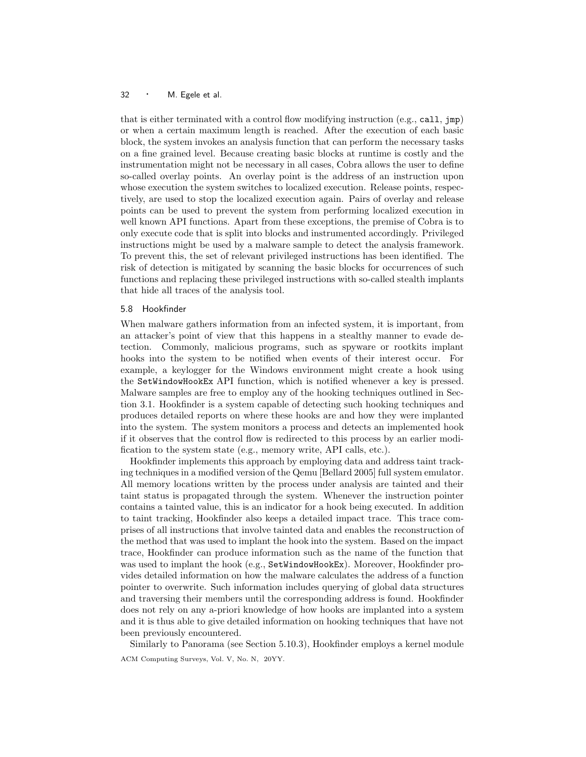that is either terminated with a control flow modifying instruction (e.g., call,  $\text{imp}$ ) or when a certain maximum length is reached. After the execution of each basic block, the system invokes an analysis function that can perform the necessary tasks on a fine grained level. Because creating basic blocks at runtime is costly and the instrumentation might not be necessary in all cases, Cobra allows the user to define so-called overlay points. An overlay point is the address of an instruction upon whose execution the system switches to localized execution. Release points, respectively, are used to stop the localized execution again. Pairs of overlay and release points can be used to prevent the system from performing localized execution in well known API functions. Apart from these exceptions, the premise of Cobra is to only execute code that is split into blocks and instrumented accordingly. Privileged instructions might be used by a malware sample to detect the analysis framework. To prevent this, the set of relevant privileged instructions has been identified. The risk of detection is mitigated by scanning the basic blocks for occurrences of such functions and replacing these privileged instructions with so-called stealth implants that hide all traces of the analysis tool.

#### 5.8 Hookfinder

When malware gathers information from an infected system, it is important, from an attacker's point of view that this happens in a stealthy manner to evade detection. Commonly, malicious programs, such as spyware or rootkits implant hooks into the system to be notified when events of their interest occur. For example, a keylogger for the Windows environment might create a hook using the SetWindowHookEx API function, which is notified whenever a key is pressed. Malware samples are free to employ any of the hooking techniques outlined in Section 3.1. Hookfinder is a system capable of detecting such hooking techniques and produces detailed reports on where these hooks are and how they were implanted into the system. The system monitors a process and detects an implemented hook if it observes that the control flow is redirected to this process by an earlier modification to the system state (e.g., memory write, API calls, etc.).

Hookfinder implements this approach by employing data and address taint tracking techniques in a modified version of the Qemu [Bellard 2005] full system emulator. All memory locations written by the process under analysis are tainted and their taint status is propagated through the system. Whenever the instruction pointer contains a tainted value, this is an indicator for a hook being executed. In addition to taint tracking, Hookfinder also keeps a detailed impact trace. This trace comprises of all instructions that involve tainted data and enables the reconstruction of the method that was used to implant the hook into the system. Based on the impact trace, Hookfinder can produce information such as the name of the function that was used to implant the hook (e.g., SetWindowHookEx). Moreover, Hookfinder provides detailed information on how the malware calculates the address of a function pointer to overwrite. Such information includes querying of global data structures and traversing their members until the corresponding address is found. Hookfinder does not rely on any a-priori knowledge of how hooks are implanted into a system and it is thus able to give detailed information on hooking techniques that have not been previously encountered.

Similarly to Panorama (see Section 5.10.3), Hookfinder employs a kernel module ACM Computing Surveys, Vol. V, No. N, 20YY.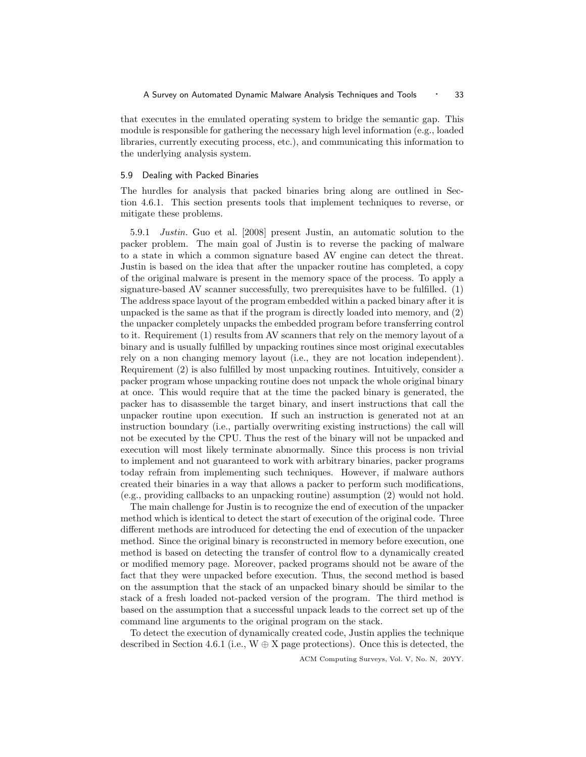that executes in the emulated operating system to bridge the semantic gap. This module is responsible for gathering the necessary high level information (e.g., loaded libraries, currently executing process, etc.), and communicating this information to the underlying analysis system.

#### 5.9 Dealing with Packed Binaries

The hurdles for analysis that packed binaries bring along are outlined in Section 4.6.1. This section presents tools that implement techniques to reverse, or mitigate these problems.

5.9.1 *Justin.* Guo et al. [2008] present Justin, an automatic solution to the packer problem. The main goal of Justin is to reverse the packing of malware to a state in which a common signature based AV engine can detect the threat. Justin is based on the idea that after the unpacker routine has completed, a copy of the original malware is present in the memory space of the process. To apply a signature-based AV scanner successfully, two prerequisites have to be fulfilled. (1) The address space layout of the program embedded within a packed binary after it is unpacked is the same as that if the program is directly loaded into memory, and (2) the unpacker completely unpacks the embedded program before transferring control to it. Requirement (1) results from AV scanners that rely on the memory layout of a binary and is usually fulfilled by unpacking routines since most original executables rely on a non changing memory layout (i.e., they are not location independent). Requirement (2) is also fulfilled by most unpacking routines. Intuitively, consider a packer program whose unpacking routine does not unpack the whole original binary at once. This would require that at the time the packed binary is generated, the packer has to disassemble the target binary, and insert instructions that call the unpacker routine upon execution. If such an instruction is generated not at an instruction boundary (i.e., partially overwriting existing instructions) the call will not be executed by the CPU. Thus the rest of the binary will not be unpacked and execution will most likely terminate abnormally. Since this process is non trivial to implement and not guaranteed to work with arbitrary binaries, packer programs today refrain from implementing such techniques. However, if malware authors created their binaries in a way that allows a packer to perform such modifications, (e.g., providing callbacks to an unpacking routine) assumption (2) would not hold.

The main challenge for Justin is to recognize the end of execution of the unpacker method which is identical to detect the start of execution of the original code. Three different methods are introduced for detecting the end of execution of the unpacker method. Since the original binary is reconstructed in memory before execution, one method is based on detecting the transfer of control flow to a dynamically created or modified memory page. Moreover, packed programs should not be aware of the fact that they were unpacked before execution. Thus, the second method is based on the assumption that the stack of an unpacked binary should be similar to the stack of a fresh loaded not-packed version of the program. The third method is based on the assumption that a successful unpack leads to the correct set up of the command line arguments to the original program on the stack.

To detect the execution of dynamically created code, Justin applies the technique described in Section 4.6.1 (i.e.,  $W \oplus X$  page protections). Once this is detected, the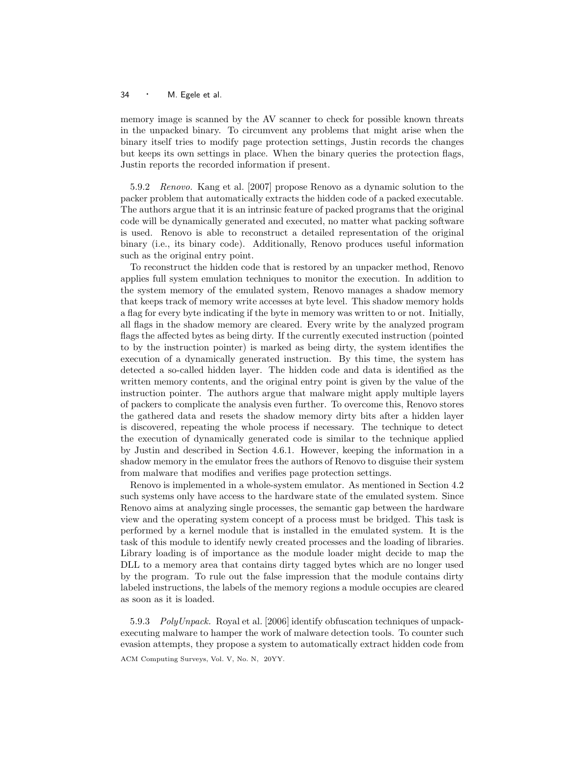memory image is scanned by the AV scanner to check for possible known threats in the unpacked binary. To circumvent any problems that might arise when the binary itself tries to modify page protection settings, Justin records the changes but keeps its own settings in place. When the binary queries the protection flags, Justin reports the recorded information if present.

5.9.2 *Renovo.* Kang et al. [2007] propose Renovo as a dynamic solution to the packer problem that automatically extracts the hidden code of a packed executable. The authors argue that it is an intrinsic feature of packed programs that the original code will be dynamically generated and executed, no matter what packing software is used. Renovo is able to reconstruct a detailed representation of the original binary (i.e., its binary code). Additionally, Renovo produces useful information such as the original entry point.

To reconstruct the hidden code that is restored by an unpacker method, Renovo applies full system emulation techniques to monitor the execution. In addition to the system memory of the emulated system, Renovo manages a shadow memory that keeps track of memory write accesses at byte level. This shadow memory holds a flag for every byte indicating if the byte in memory was written to or not. Initially, all flags in the shadow memory are cleared. Every write by the analyzed program flags the affected bytes as being dirty. If the currently executed instruction (pointed to by the instruction pointer) is marked as being dirty, the system identifies the execution of a dynamically generated instruction. By this time, the system has detected a so-called hidden layer. The hidden code and data is identified as the written memory contents, and the original entry point is given by the value of the instruction pointer. The authors argue that malware might apply multiple layers of packers to complicate the analysis even further. To overcome this, Renovo stores the gathered data and resets the shadow memory dirty bits after a hidden layer is discovered, repeating the whole process if necessary. The technique to detect the execution of dynamically generated code is similar to the technique applied by Justin and described in Section 4.6.1. However, keeping the information in a shadow memory in the emulator frees the authors of Renovo to disguise their system from malware that modifies and verifies page protection settings.

Renovo is implemented in a whole-system emulator. As mentioned in Section 4.2 such systems only have access to the hardware state of the emulated system. Since Renovo aims at analyzing single processes, the semantic gap between the hardware view and the operating system concept of a process must be bridged. This task is performed by a kernel module that is installed in the emulated system. It is the task of this module to identify newly created processes and the loading of libraries. Library loading is of importance as the module loader might decide to map the DLL to a memory area that contains dirty tagged bytes which are no longer used by the program. To rule out the false impression that the module contains dirty labeled instructions, the labels of the memory regions a module occupies are cleared as soon as it is loaded.

5.9.3 *PolyUnpack.* Royal et al. [2006] identify obfuscation techniques of unpackexecuting malware to hamper the work of malware detection tools. To counter such evasion attempts, they propose a system to automatically extract hidden code from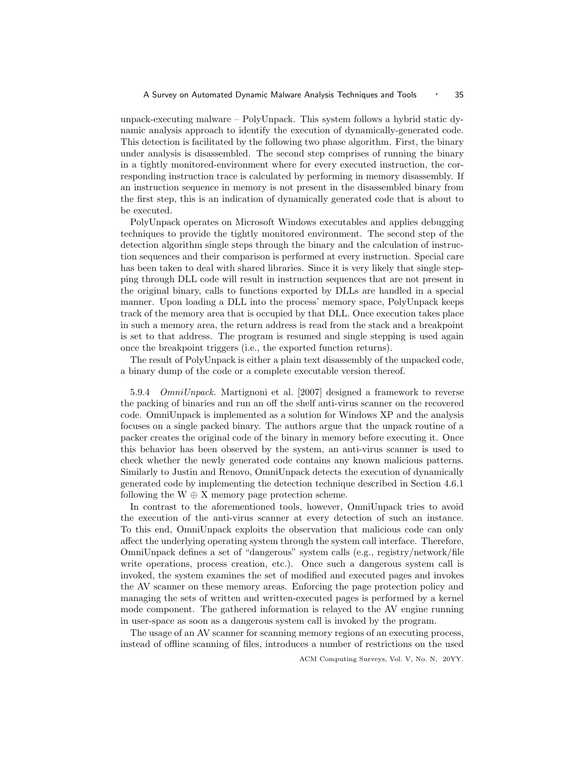unpack-executing malware – PolyUnpack. This system follows a hybrid static dynamic analysis approach to identify the execution of dynamically-generated code. This detection is facilitated by the following two phase algorithm. First, the binary under analysis is disassembled. The second step comprises of running the binary in a tightly monitored-environment where for every executed instruction, the corresponding instruction trace is calculated by performing in memory disassembly. If an instruction sequence in memory is not present in the disassembled binary from the first step, this is an indication of dynamically generated code that is about to be executed.

PolyUnpack operates on Microsoft Windows executables and applies debugging techniques to provide the tightly monitored environment. The second step of the detection algorithm single steps through the binary and the calculation of instruction sequences and their comparison is performed at every instruction. Special care has been taken to deal with shared libraries. Since it is very likely that single stepping through DLL code will result in instruction sequences that are not present in the original binary, calls to functions exported by DLLs are handled in a special manner. Upon loading a DLL into the process' memory space, PolyUnpack keeps track of the memory area that is occupied by that DLL. Once execution takes place in such a memory area, the return address is read from the stack and a breakpoint is set to that address. The program is resumed and single stepping is used again once the breakpoint triggers (i.e., the exported function returns).

The result of PolyUnpack is either a plain text disassembly of the unpacked code, a binary dump of the code or a complete executable version thereof.

5.9.4 *OmniUnpack.* Martignoni et al. [2007] designed a framework to reverse the packing of binaries and run an off the shelf anti-virus scanner on the recovered code. OmniUnpack is implemented as a solution for Windows XP and the analysis focuses on a single packed binary. The authors argue that the unpack routine of a packer creates the original code of the binary in memory before executing it. Once this behavior has been observed by the system, an anti-virus scanner is used to check whether the newly generated code contains any known malicious patterns. Similarly to Justin and Renovo, OmniUnpack detects the execution of dynamically generated code by implementing the detection technique described in Section 4.6.1 following the  $W \oplus X$  memory page protection scheme.

In contrast to the aforementioned tools, however, OmniUnpack tries to avoid the execution of the anti-virus scanner at every detection of such an instance. To this end, OmniUnpack exploits the observation that malicious code can only affect the underlying operating system through the system call interface. Therefore, OmniUnpack defines a set of "dangerous" system calls (e.g., registry/network/file write operations, process creation, etc.). Once such a dangerous system call is invoked, the system examines the set of modified and executed pages and invokes the AV scanner on these memory areas. Enforcing the page protection policy and managing the sets of written and written-executed pages is performed by a kernel mode component. The gathered information is relayed to the AV engine running in user-space as soon as a dangerous system call is invoked by the program.

The usage of an AV scanner for scanning memory regions of an executing process, instead of offline scanning of files, introduces a number of restrictions on the used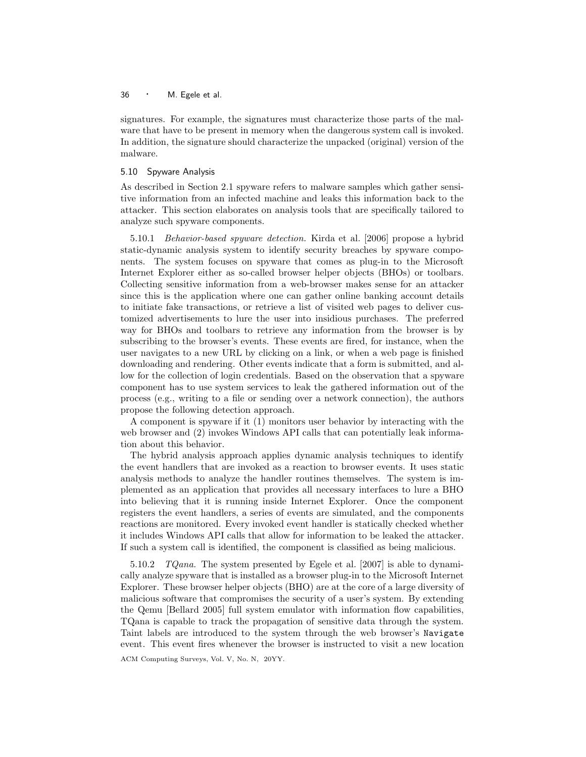signatures. For example, the signatures must characterize those parts of the malware that have to be present in memory when the dangerous system call is invoked. In addition, the signature should characterize the unpacked (original) version of the malware.

# 5.10 Spyware Analysis

As described in Section 2.1 spyware refers to malware samples which gather sensitive information from an infected machine and leaks this information back to the attacker. This section elaborates on analysis tools that are specifically tailored to analyze such spyware components.

5.10.1 *Behavior-based spyware detection.* Kirda et al. [2006] propose a hybrid static-dynamic analysis system to identify security breaches by spyware components. The system focuses on spyware that comes as plug-in to the Microsoft Internet Explorer either as so-called browser helper objects (BHOs) or toolbars. Collecting sensitive information from a web-browser makes sense for an attacker since this is the application where one can gather online banking account details to initiate fake transactions, or retrieve a list of visited web pages to deliver customized advertisements to lure the user into insidious purchases. The preferred way for BHOs and toolbars to retrieve any information from the browser is by subscribing to the browser's events. These events are fired, for instance, when the user navigates to a new URL by clicking on a link, or when a web page is finished downloading and rendering. Other events indicate that a form is submitted, and allow for the collection of login credentials. Based on the observation that a spyware component has to use system services to leak the gathered information out of the process (e.g., writing to a file or sending over a network connection), the authors propose the following detection approach.

A component is spyware if it (1) monitors user behavior by interacting with the web browser and (2) invokes Windows API calls that can potentially leak information about this behavior.

The hybrid analysis approach applies dynamic analysis techniques to identify the event handlers that are invoked as a reaction to browser events. It uses static analysis methods to analyze the handler routines themselves. The system is implemented as an application that provides all necessary interfaces to lure a BHO into believing that it is running inside Internet Explorer. Once the component registers the event handlers, a series of events are simulated, and the components reactions are monitored. Every invoked event handler is statically checked whether it includes Windows API calls that allow for information to be leaked the attacker. If such a system call is identified, the component is classified as being malicious.

5.10.2 *TQana.* The system presented by Egele et al. [2007] is able to dynamically analyze spyware that is installed as a browser plug-in to the Microsoft Internet Explorer. These browser helper objects (BHO) are at the core of a large diversity of malicious software that compromises the security of a user's system. By extending the Qemu [Bellard 2005] full system emulator with information flow capabilities, TQana is capable to track the propagation of sensitive data through the system. Taint labels are introduced to the system through the web browser's Navigate event. This event fires whenever the browser is instructed to visit a new location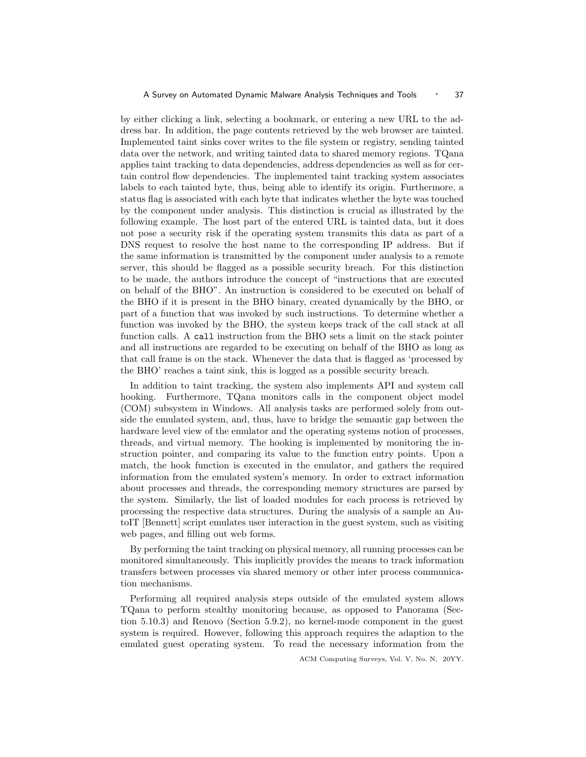by either clicking a link, selecting a bookmark, or entering a new URL to the address bar. In addition, the page contents retrieved by the web browser are tainted. Implemented taint sinks cover writes to the file system or registry, sending tainted data over the network, and writing tainted data to shared memory regions. TQana applies taint tracking to data dependencies, address dependencies as well as for certain control flow dependencies. The implemented taint tracking system associates labels to each tainted byte, thus, being able to identify its origin. Furthermore, a status flag is associated with each byte that indicates whether the byte was touched by the component under analysis. This distinction is crucial as illustrated by the following example. The host part of the entered URL is tainted data, but it does not pose a security risk if the operating system transmits this data as part of a DNS request to resolve the host name to the corresponding IP address. But if the same information is transmitted by the component under analysis to a remote server, this should be flagged as a possible security breach. For this distinction to be made, the authors introduce the concept of "instructions that are executed on behalf of the BHO". An instruction is considered to be executed on behalf of the BHO if it is present in the BHO binary, created dynamically by the BHO, or part of a function that was invoked by such instructions. To determine whether a function was invoked by the BHO, the system keeps track of the call stack at all function calls. A call instruction from the BHO sets a limit on the stack pointer and all instructions are regarded to be executing on behalf of the BHO as long as that call frame is on the stack. Whenever the data that is flagged as 'processed by the BHO' reaches a taint sink, this is logged as a possible security breach.

In addition to taint tracking, the system also implements API and system call hooking. Furthermore, TQana monitors calls in the component object model (COM) subsystem in Windows. All analysis tasks are performed solely from outside the emulated system, and, thus, have to bridge the semantic gap between the hardware level view of the emulator and the operating systems notion of processes, threads, and virtual memory. The hooking is implemented by monitoring the instruction pointer, and comparing its value to the function entry points. Upon a match, the hook function is executed in the emulator, and gathers the required information from the emulated system's memory. In order to extract information about processes and threads, the corresponding memory structures are parsed by the system. Similarly, the list of loaded modules for each process is retrieved by processing the respective data structures. During the analysis of a sample an AutoIT [Bennett] script emulates user interaction in the guest system, such as visiting web pages, and filling out web forms.

By performing the taint tracking on physical memory, all running processes can be monitored simultaneously. This implicitly provides the means to track information transfers between processes via shared memory or other inter process communication mechanisms.

Performing all required analysis steps outside of the emulated system allows TQana to perform stealthy monitoring because, as opposed to Panorama (Section 5.10.3) and Renovo (Section 5.9.2), no kernel-mode component in the guest system is required. However, following this approach requires the adaption to the emulated guest operating system. To read the necessary information from the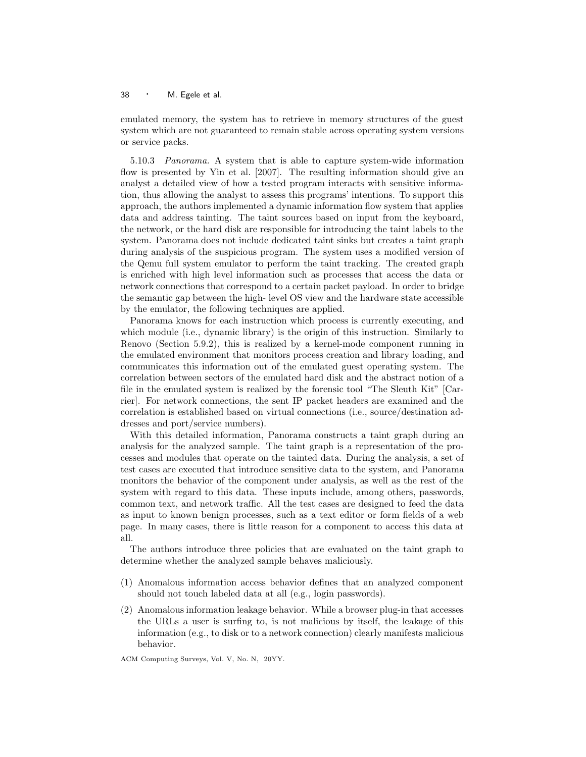emulated memory, the system has to retrieve in memory structures of the guest system which are not guaranteed to remain stable across operating system versions or service packs.

5.10.3 *Panorama.* A system that is able to capture system-wide information flow is presented by Yin et al. [2007]. The resulting information should give an analyst a detailed view of how a tested program interacts with sensitive information, thus allowing the analyst to assess this programs' intentions. To support this approach, the authors implemented a dynamic information flow system that applies data and address tainting. The taint sources based on input from the keyboard, the network, or the hard disk are responsible for introducing the taint labels to the system. Panorama does not include dedicated taint sinks but creates a taint graph during analysis of the suspicious program. The system uses a modified version of the Qemu full system emulator to perform the taint tracking. The created graph is enriched with high level information such as processes that access the data or network connections that correspond to a certain packet payload. In order to bridge the semantic gap between the high- level OS view and the hardware state accessible by the emulator, the following techniques are applied.

Panorama knows for each instruction which process is currently executing, and which module (i.e., dynamic library) is the origin of this instruction. Similarly to Renovo (Section 5.9.2), this is realized by a kernel-mode component running in the emulated environment that monitors process creation and library loading, and communicates this information out of the emulated guest operating system. The correlation between sectors of the emulated hard disk and the abstract notion of a file in the emulated system is realized by the forensic tool "The Sleuth Kit" [Carrier]. For network connections, the sent IP packet headers are examined and the correlation is established based on virtual connections (i.e., source/destination addresses and port/service numbers).

With this detailed information, Panorama constructs a taint graph during an analysis for the analyzed sample. The taint graph is a representation of the processes and modules that operate on the tainted data. During the analysis, a set of test cases are executed that introduce sensitive data to the system, and Panorama monitors the behavior of the component under analysis, as well as the rest of the system with regard to this data. These inputs include, among others, passwords, common text, and network traffic. All the test cases are designed to feed the data as input to known benign processes, such as a text editor or form fields of a web page. In many cases, there is little reason for a component to access this data at all.

The authors introduce three policies that are evaluated on the taint graph to determine whether the analyzed sample behaves maliciously.

- (1) Anomalous information access behavior defines that an analyzed component should not touch labeled data at all (e.g., login passwords).
- (2) Anomalous information leakage behavior. While a browser plug-in that accesses the URLs a user is surfing to, is not malicious by itself, the leakage of this information (e.g., to disk or to a network connection) clearly manifests malicious behavior.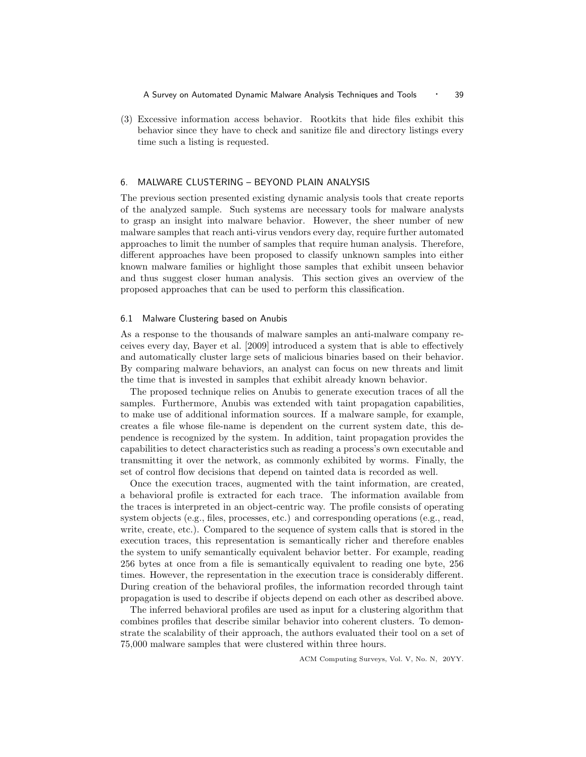(3) Excessive information access behavior. Rootkits that hide files exhibit this behavior since they have to check and sanitize file and directory listings every time such a listing is requested.

#### 6. MALWARE CLUSTERING – BEYOND PLAIN ANALYSIS

The previous section presented existing dynamic analysis tools that create reports of the analyzed sample. Such systems are necessary tools for malware analysts to grasp an insight into malware behavior. However, the sheer number of new malware samples that reach anti-virus vendors every day, require further automated approaches to limit the number of samples that require human analysis. Therefore, different approaches have been proposed to classify unknown samples into either known malware families or highlight those samples that exhibit unseen behavior and thus suggest closer human analysis. This section gives an overview of the proposed approaches that can be used to perform this classification.

# 6.1 Malware Clustering based on Anubis

As a response to the thousands of malware samples an anti-malware company receives every day, Bayer et al. [2009] introduced a system that is able to effectively and automatically cluster large sets of malicious binaries based on their behavior. By comparing malware behaviors, an analyst can focus on new threats and limit the time that is invested in samples that exhibit already known behavior.

The proposed technique relies on Anubis to generate execution traces of all the samples. Furthermore, Anubis was extended with taint propagation capabilities, to make use of additional information sources. If a malware sample, for example, creates a file whose file-name is dependent on the current system date, this dependence is recognized by the system. In addition, taint propagation provides the capabilities to detect characteristics such as reading a process's own executable and transmitting it over the network, as commonly exhibited by worms. Finally, the set of control flow decisions that depend on tainted data is recorded as well.

Once the execution traces, augmented with the taint information, are created, a behavioral profile is extracted for each trace. The information available from the traces is interpreted in an object-centric way. The profile consists of operating system objects (e.g., files, processes, etc.) and corresponding operations (e.g., read, write, create, etc.). Compared to the sequence of system calls that is stored in the execution traces, this representation is semantically richer and therefore enables the system to unify semantically equivalent behavior better. For example, reading 256 bytes at once from a file is semantically equivalent to reading one byte, 256 times. However, the representation in the execution trace is considerably different. During creation of the behavioral profiles, the information recorded through taint propagation is used to describe if objects depend on each other as described above.

The inferred behavioral profiles are used as input for a clustering algorithm that combines profiles that describe similar behavior into coherent clusters. To demonstrate the scalability of their approach, the authors evaluated their tool on a set of 75,000 malware samples that were clustered within three hours.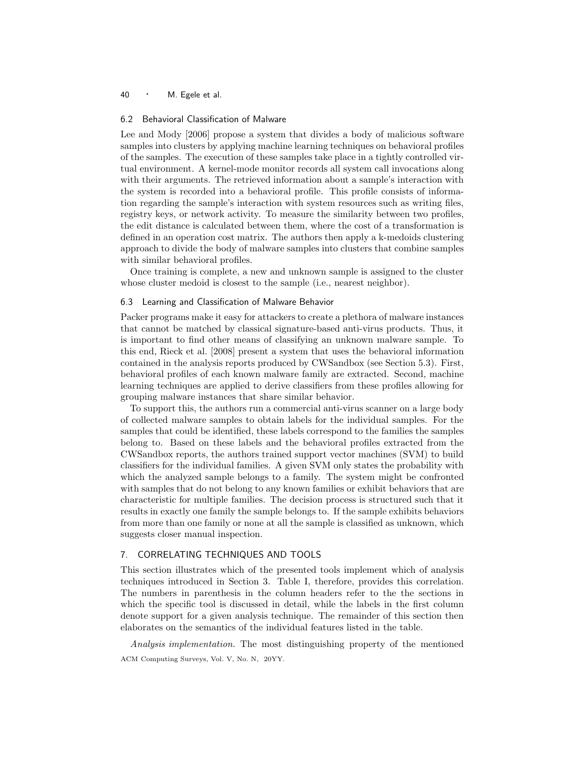# 6.2 Behavioral Classification of Malware

Lee and Mody [2006] propose a system that divides a body of malicious software samples into clusters by applying machine learning techniques on behavioral profiles of the samples. The execution of these samples take place in a tightly controlled virtual environment. A kernel-mode monitor records all system call invocations along with their arguments. The retrieved information about a sample's interaction with the system is recorded into a behavioral profile. This profile consists of information regarding the sample's interaction with system resources such as writing files, registry keys, or network activity. To measure the similarity between two profiles, the edit distance is calculated between them, where the cost of a transformation is defined in an operation cost matrix. The authors then apply a k-medoids clustering approach to divide the body of malware samples into clusters that combine samples with similar behavioral profiles.

Once training is complete, a new and unknown sample is assigned to the cluster whose cluster medoid is closest to the sample (i.e., nearest neighbor).

#### 6.3 Learning and Classification of Malware Behavior

Packer programs make it easy for attackers to create a plethora of malware instances that cannot be matched by classical signature-based anti-virus products. Thus, it is important to find other means of classifying an unknown malware sample. To this end, Rieck et al. [2008] present a system that uses the behavioral information contained in the analysis reports produced by CWSandbox (see Section 5.3). First, behavioral profiles of each known malware family are extracted. Second, machine learning techniques are applied to derive classifiers from these profiles allowing for grouping malware instances that share similar behavior.

To support this, the authors run a commercial anti-virus scanner on a large body of collected malware samples to obtain labels for the individual samples. For the samples that could be identified, these labels correspond to the families the samples belong to. Based on these labels and the behavioral profiles extracted from the CWSandbox reports, the authors trained support vector machines (SVM) to build classifiers for the individual families. A given SVM only states the probability with which the analyzed sample belongs to a family. The system might be confronted with samples that do not belong to any known families or exhibit behaviors that are characteristic for multiple families. The decision process is structured such that it results in exactly one family the sample belongs to. If the sample exhibits behaviors from more than one family or none at all the sample is classified as unknown, which suggests closer manual inspection.

## 7. CORRELATING TECHNIQUES AND TOOLS

This section illustrates which of the presented tools implement which of analysis techniques introduced in Section 3. Table I, therefore, provides this correlation. The numbers in parenthesis in the column headers refer to the the sections in which the specific tool is discussed in detail, while the labels in the first column denote support for a given analysis technique. The remainder of this section then elaborates on the semantics of the individual features listed in the table.

*Analysis implementation.* The most distinguishing property of the mentioned ACM Computing Surveys, Vol. V, No. N, 20YY.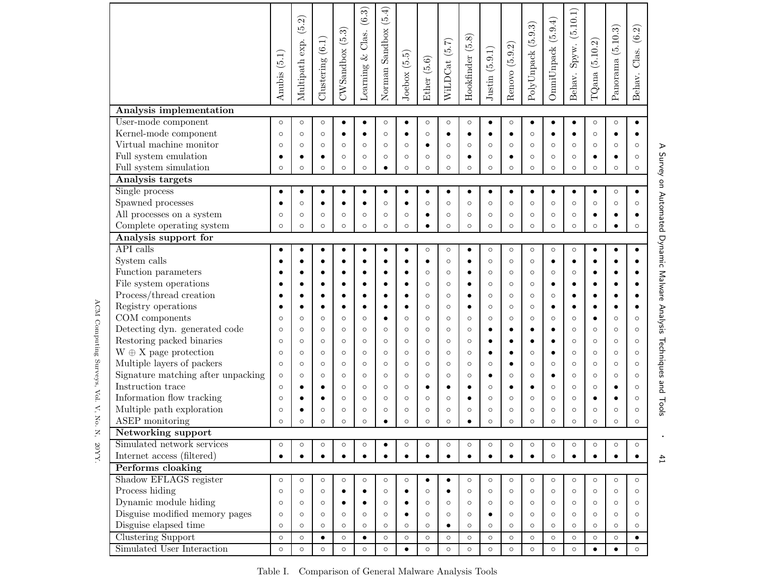|                                    | (5.1)<br>Anubis | (5.2)<br>Multipath exp. | (6.1)<br>Clustering | $CWS$ andbox $(5.3)$ | (6.3)<br>Clas.<br>$\infty$<br>Learning | (5.4)<br>Sandbox<br>Norman | (5.5)<br>Joebox | Ether $(5.6)$ | WiLDCat (5.7) | Hookfinder (5.8) | Justin $(5.9.1)$ | Renovo (5.9.2) | PolyUnpack(5.9.3) | (5.9.4)<br>OmniUnpack | (5.10.1)<br>$Spyw$ .<br>Behav. | (5.10.2)<br>TQana | Panorama (5.10.3) | (6.2)<br>Clas.<br>Behav. |
|------------------------------------|-----------------|-------------------------|---------------------|----------------------|----------------------------------------|----------------------------|-----------------|---------------|---------------|------------------|------------------|----------------|-------------------|-----------------------|--------------------------------|-------------------|-------------------|--------------------------|
| Analysis implementation            |                 |                         |                     |                      |                                        |                            |                 |               |               |                  |                  |                |                   |                       |                                |                   |                   |                          |
| User-mode component                | $\circ$         | $\circ$                 | $\circ$             | $\bullet$            | $\bullet$                              | $\circ$                    | $\bullet$       | $\circ$       | $\circ$       | $\circ$          | $\bullet$        | $\circ$        | $\bullet$         | $\bullet$             | $\bullet$                      | $\circ$           | $\circ$           | $\bullet$                |
| Kernel-mode component              | $\circ$         | $\circ$                 | $\circ$             | $\bullet$            | $\bullet$                              | $\circ$                    | $\bullet$       | $\circ$       | $\bullet$     | $\bullet$        | $\bullet$        | $\bullet$      | $\circ$           | $\bullet$             | $\bullet$                      | $\circ$           | $\bullet$         | $\bullet$                |
| Virtual machine monitor            | $\circ$         | $\circ$                 | $\circ$             | $\circ$              | $\circ$                                | $\circ$                    | $\circ$         | ٠             | $\circ$       | $\circ$          | $\circ$          | $\circ$        | $\circ$           | $\circ$               | $\circ$                        | $\circ$           | $\circ$           | $\circ$                  |
| Full system emulation              |                 | $\bullet$               | $\bullet$           | $\circ$              | $\circ$                                | $\circ$                    | $\circ$         | $\circ$       | $\circ$       | $\bullet$        | $\circ$          | $\bullet$      | $\circ$           | $\circ$               | $\circ$                        | $\bullet$         | $\bullet$         | $\circ$                  |
| Full system simulation             | $\circ$         | $\circ$                 | $\circ$             | $\circ$              | $\circ$                                |                            | $\circ$         | $\circ$       | $\circ$       | $\circ$          | $\circ$          | $\circ$        | $\circ$           | $\circ$               | $\circ$                        | $\circ$           | $\circ$           | $\circ$                  |
| Analysis targets                   |                 |                         |                     |                      |                                        |                            |                 |               |               |                  |                  |                |                   |                       |                                |                   |                   |                          |
| Single process                     | $\bullet$       | $\bullet$               | $\bullet$           | ٠                    | ٠                                      | $\bullet$                  | $\bullet$       | $\bullet$     | $\bullet$     | $\bullet$        | $\bullet$        | $\bullet$      | $\bullet$         | $\bullet$             | $\bullet$                      | $\bullet$         | $\circ$           | $\bullet$                |
| Spawned processes                  |                 | $\circ$                 | $\bullet$           |                      |                                        | $\circ$                    | $\bullet$       | $\circ$       | $\circ$       | $\circ$          | $\circ$          | $\circ$        | $\circ$           | $\circ$               | $\circ$                        | $\circ$           | $\circ$           | $\circ$                  |
| All processes on a system          | $\circ$         | $\circ$                 | $\circ$             | $\circ$              | $\circ$                                | $\circ$                    | $\circ$         | $\bullet$     | $\circ$       | $\circ$          | $\circ$          | $\circ$        | $\circ$           | $\circ$               | $\circ$                        | $\bullet$         | $\bullet$         | $\bullet$                |
| Complete operating system          | $\circ$         | $\circ$                 | $\circ$             | $\circ$              | $\circ$                                | $\circ$                    | $\circ$         | $\bullet$     | $\circ$       | $\circ$          | $\circ$          | $\circ$        | $\circ$           | $\circ$               | $\circ$                        | $\circ$           |                   | $\circ$                  |
| Analysis support for               |                 |                         |                     |                      |                                        |                            |                 |               |               |                  |                  |                |                   |                       |                                |                   |                   |                          |
| API calls                          |                 | $\bullet$               | $\bullet$           | ٠                    | ٠                                      | $\bullet$                  | $\bullet$       | $\circ$       | $\circ$       | $\bullet$        | $\circ$          | $\circ$        | $\circ$           | $\circ$               | $\circ$                        |                   | ٠                 | $\bullet$                |
| System calls                       |                 |                         |                     |                      |                                        |                            | $\bullet$       | $\bullet$     | $\circ$       | $\bullet$        | $\circ$          | $\circ$        | $\circ$           | $\bullet$             | $\bullet$                      |                   |                   |                          |
| Function parameters                |                 |                         |                     |                      |                                        |                            | $\bullet$       | $\circ$       | $\circ$       | $\bullet$        | $\circ$          | $\circ$        | $\circ$           | $\circ$               | $\circ$                        |                   |                   |                          |
| File system operations             |                 | e                       |                     |                      |                                        |                            | $\bullet$       | $\circ$       | $\circ$       | $\bullet$        | $\circ$          | $\circ$        | $\circ$           | $\bullet$             | $\bullet$                      |                   |                   |                          |
| Process/thread creation            |                 | ٠                       |                     |                      |                                        |                            | $\bullet$       | $\circ$       | $\circ$       | $\bullet$        | $\circ$          | $\circ$        | $\circ$           | $\circ$               | ٠                              |                   |                   |                          |
| Registry operations                |                 | $\bullet$               | $\bullet$           | ٠                    | $\bullet$                              | $\bullet$                  | $\bullet$       | $\circ$       | $\circ$       | $\bullet$        | $\circ$          | $\circ$        | $\circ$           | $\bullet$             | ٠                              | ٠                 | $\bullet$         |                          |
| COM components                     | $\circ$         | $\circ$                 | $\circ$             | $\circ$              | $\circ$                                | $\bullet$                  | $\circ$         | $\circ$       | $\circ$       | $\circ$          | $\circ$          | $\circ$        | $\circ$           | $\circ$               | $\circ$                        | $\bullet$         | $\circ$           | $\circ$                  |
| Detecting dyn. generated code      | $\circ$         | $\circ$                 | $\circ$             | $\circ$              | $\circ$                                | $\circ$                    | $\circ$         | $\circ$       | $\circ$       | $\circ$          | $\bullet$        |                | $\bullet$         |                       | $\circ$                        | $\circ$           | $\circ$           | $\circ$                  |
| Restoring packed binaries          | $\circ$         | $\circ$                 | $\circ$             | $\circ$              | $\circ$                                | $\circ$                    | $\circ$         | $\circ$       | $\circ$       | $\circ$          | $\bullet$        |                | ٠                 | ٠                     | $\circ$                        | $\circ$           | $\circ$           | $\circ$                  |
| $W \oplus X$ page protection       | $\circ$         | $\circ$                 | $\circ$             | $\circ$              | $\circ$                                | $\circ$                    | $\circ$         | $\circ$       | $\circ$       | $\circ$          | $\bullet$        |                | $\circ$           | $\bullet$             | $\circ$                        | $\circ$           | $\circ$           | $\circ$                  |
| Multiple layers of packers         | $\circ$         | $\circ$                 | $\circ$             | $\circ$              | $\circ$                                | $\circ$                    | $\circ$         | $\circ$       | $\circ$       | $\circ$          | $\circ$          |                | $\circ$           | $\circ$               | $\circ$                        | $\circ$           | $\circ$           | $\circ$                  |
| Signature matching after unpacking | $\circ$         | $\circ$                 | $\circ$             | $\circ$              | $\circ$                                | $\circ$                    | $\circ$         | $\circ$       | $\circ$       | $\circ$          | $\bullet$        | $\circ$        | $\circ$           | $\bullet$             | $\circ$                        | $\circ$           | $\circ$           | $\circ$                  |
| Instruction trace                  | $\circ$         | $\bullet$               | $\bullet$           | $\circ$              | $\circ$                                | $\circ$                    | $\circ$         | $\bullet$     | $\bullet$     | $\bullet$        | $\circ$          | $\bullet$      | $\bullet$         | $\circ$               | $\circ$                        | $\circ$           | $\bullet$         | $\circ$                  |
| Information flow tracking          | $\circ$         |                         | $\bullet$           | $\circ$              | $\circ$                                | $\circ$                    | $\circ$         | $\circ$       | $\circ$       | $\bullet$        | $\circ$          | $\circ$        | $\circ$           | $\circ$               | $\circ$                        | $\bullet$         | $\bullet$         | $\circ$                  |
| Multiple path exploration          | $\circ$         | $\bullet$               | $\circ$             | $\circ$              | $\circ$                                | $\circ$                    | $\circ$         | $\circ$       | $\circ$       | $\circ$          | $\circ$          | $\circ$        | $\circ$           | $\circ$               | $\circ$                        | $\circ$           | $\circ$           | $\circ$                  |
| ASEP monitoring                    | $\circ$         | $\circ$                 | $\circ$             | $\circ$              | $\circ$                                | $\bullet$                  | $\circ$         | $\circ$       | $\circ$       | $\bullet$        | $\circ$          | $\circ$        | $\circ$           | $\circ$               | $\circ$                        | $\circ$           | $\circ$           | $\circ$                  |
| Networking support                 |                 |                         |                     |                      |                                        |                            |                 |               |               |                  |                  |                |                   |                       |                                |                   |                   |                          |
| Simulated network services         | $\circ$         | $\circ$                 | $\circ$             | $\circ$              | $\circ$                                | ٠                          | $\circ$         | $\circ$       | $\circ$       | $\circ$          | $\circ$          | $\circ$        | $\circ$           | $\circ$               | $\circ$                        | $\circ$           | $\circ$           | $\circ$                  |
| Internet access (filtered)         | $\bullet$       | $\bullet$               | $\bullet$           | $\bullet$            | $\bullet$                              | $\bullet$                  | $\bullet$       | $\bullet$     | $\bullet$     | $\bullet$        | $\bullet$        | $\bullet$      | $\bullet$         | $\circ$               | $\bullet$                      | $\bullet$         | $\bullet$         | $\bullet$                |
| <b>Performs</b> cloaking           |                 |                         |                     |                      |                                        |                            |                 |               |               |                  |                  |                |                   |                       |                                |                   |                   |                          |
| Shadow EFLAGS register             | $\circ$         | $\circ$                 | $\circ$             | $\circ$              | $\circ$                                | $\circ$                    | $\circ$         | $\bullet$     | $\bullet$     | $\circ$          | $\circ$          | $\circ$        | $\circ$           | $\circ$               | $\circ$                        | $\circ$           | $\circ$           | $\circ$                  |
| Process hiding                     | $\circ$         | $\circ$                 | $\circ$             | $\bullet$            | $\bullet$                              | $\circ$                    | $\bullet$       | $\circ$       | $\bullet$     | $\circ$          | $\circ$          | $\circ$        | $\circ$           | $\circ$               | $\circ$                        | $\circ$           | $\circ$           | $\circ$                  |
| Dynamic module hiding              | $\circ$         | $\circ$                 | $\circ$             | $\bullet$            | $\bullet$                              | $\circ$                    | $\bullet$       | $\circ$       | $\circ$       | $\circ$          | $\circ$          | $\circ$        | $\circ$           | $\circ$               | $\circ$                        | $\circ$           | $\circ$           | $\circ$                  |
| Disguise modified memory pages     | $\circ$         | $\circ$                 | $\circ$             | $\circ$              | $\circ$                                | $\circ$                    | $\bullet$       | $\circ$       | $\circ$       | $\circ$          | $\bullet$        | $\circ$        | $\circ$           | $\circ$               | $\circ$                        | $\circ$           | $\circ$           | $\circ$                  |
| Disguise elapsed time              | $\circ$         | $\circ$                 | $\circ$             | $\circ$              | $\circ$                                | $\circ$                    | $\circ$         | $\circ$       | $\bullet$     | $\circ$          | $\circ$          | $\circ$        | $\circ$           | $\circ$               | $\circ$                        | $\circ$           | $\circ$           | $\circ$                  |
| <b>Clustering Support</b>          | $\circ$         | $\circ$                 | $\bullet$           | $\circ$              | $\bullet$                              | $\circ$                    | $\circ$         | $\circ$       | $\circ$       | $\circ$          | $\circ$          | $\circ$        | $\circ$           | $\circ$               | $\circ$                        | $\circ$           | $\circ$           | $\bullet$                |
| Simulated User Interaction         | $\circ$         | $\circ$                 | $\circ$             | $\circ$              | $\circ$                                | $\circ$                    | $\bullet$       | $\circ$       | $\circ$       | $\circ$          | $\circ$          | $\circ$        | $\circ$           | $\circ$               | $\circ$                        | $\bullet$         | $\bullet$         | $\circ$                  |

ACM Computing Surveys, Vol. V, No. N,  $\,$  20YY. ACM Computing Surveys, Vol. V, No. N, 20YY.

41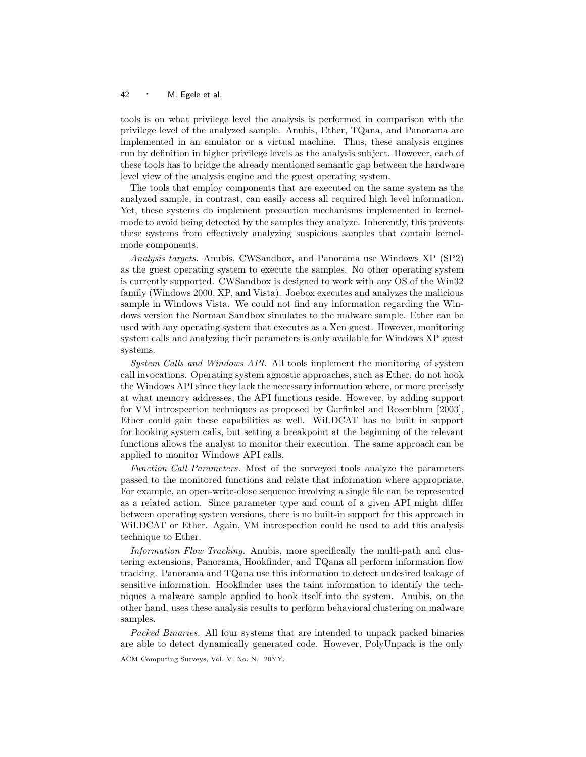tools is on what privilege level the analysis is performed in comparison with the privilege level of the analyzed sample. Anubis, Ether, TQana, and Panorama are implemented in an emulator or a virtual machine. Thus, these analysis engines run by definition in higher privilege levels as the analysis subject. However, each of these tools has to bridge the already mentioned semantic gap between the hardware level view of the analysis engine and the guest operating system.

The tools that employ components that are executed on the same system as the analyzed sample, in contrast, can easily access all required high level information. Yet, these systems do implement precaution mechanisms implemented in kernelmode to avoid being detected by the samples they analyze. Inherently, this prevents these systems from effectively analyzing suspicious samples that contain kernelmode components.

*Analysis targets.* Anubis, CWSandbox, and Panorama use Windows XP (SP2) as the guest operating system to execute the samples. No other operating system is currently supported. CWSandbox is designed to work with any OS of the Win32 family (Windows 2000, XP, and Vista). Joebox executes and analyzes the malicious sample in Windows Vista. We could not find any information regarding the Windows version the Norman Sandbox simulates to the malware sample. Ether can be used with any operating system that executes as a Xen guest. However, monitoring system calls and analyzing their parameters is only available for Windows XP guest systems.

*System Calls and Windows API.* All tools implement the monitoring of system call invocations. Operating system agnostic approaches, such as Ether, do not hook the Windows API since they lack the necessary information where, or more precisely at what memory addresses, the API functions reside. However, by adding support for VM introspection techniques as proposed by Garfinkel and Rosenblum [2003], Ether could gain these capabilities as well. WiLDCAT has no built in support for hooking system calls, but setting a breakpoint at the beginning of the relevant functions allows the analyst to monitor their execution. The same approach can be applied to monitor Windows API calls.

*Function Call Parameters.* Most of the surveyed tools analyze the parameters passed to the monitored functions and relate that information where appropriate. For example, an open-write-close sequence involving a single file can be represented as a related action. Since parameter type and count of a given API might differ between operating system versions, there is no built-in support for this approach in WiLDCAT or Ether. Again, VM introspection could be used to add this analysis technique to Ether.

*Information Flow Tracking.* Anubis, more specifically the multi-path and clustering extensions, Panorama, Hookfinder, and TQana all perform information flow tracking. Panorama and TQana use this information to detect undesired leakage of sensitive information. Hookfinder uses the taint information to identify the techniques a malware sample applied to hook itself into the system. Anubis, on the other hand, uses these analysis results to perform behavioral clustering on malware samples.

*Packed Binaries.* All four systems that are intended to unpack packed binaries are able to detect dynamically generated code. However, PolyUnpack is the only ACM Computing Surveys, Vol. V, No. N, 20YY.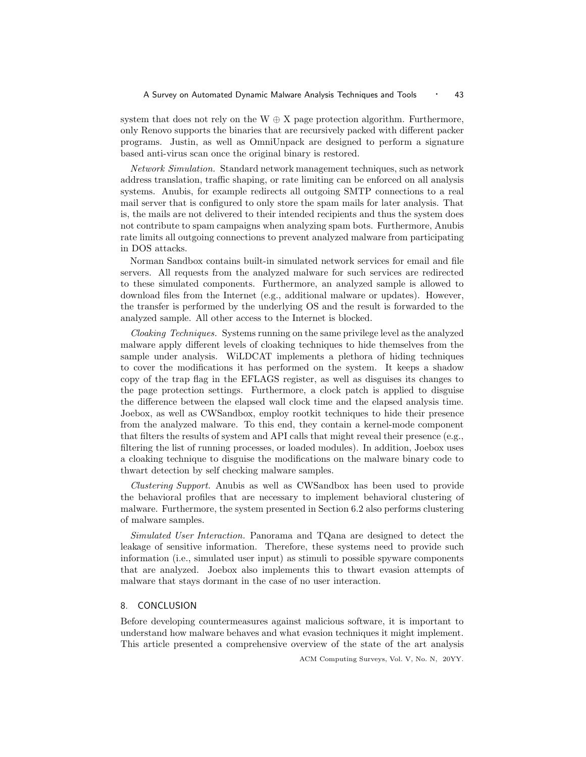system that does not rely on the W  $\oplus$  X page protection algorithm. Furthermore, only Renovo supports the binaries that are recursively packed with different packer programs. Justin, as well as OmniUnpack are designed to perform a signature based anti-virus scan once the original binary is restored.

*Network Simulation.* Standard network management techniques, such as network address translation, traffic shaping, or rate limiting can be enforced on all analysis systems. Anubis, for example redirects all outgoing SMTP connections to a real mail server that is configured to only store the spam mails for later analysis. That is, the mails are not delivered to their intended recipients and thus the system does not contribute to spam campaigns when analyzing spam bots. Furthermore, Anubis rate limits all outgoing connections to prevent analyzed malware from participating in DOS attacks.

Norman Sandbox contains built-in simulated network services for email and file servers. All requests from the analyzed malware for such services are redirected to these simulated components. Furthermore, an analyzed sample is allowed to download files from the Internet (e.g., additional malware or updates). However, the transfer is performed by the underlying OS and the result is forwarded to the analyzed sample. All other access to the Internet is blocked.

*Cloaking Techniques.* Systems running on the same privilege level as the analyzed malware apply different levels of cloaking techniques to hide themselves from the sample under analysis. WiLDCAT implements a plethora of hiding techniques to cover the modifications it has performed on the system. It keeps a shadow copy of the trap flag in the EFLAGS register, as well as disguises its changes to the page protection settings. Furthermore, a clock patch is applied to disguise the difference between the elapsed wall clock time and the elapsed analysis time. Joebox, as well as CWSandbox, employ rootkit techniques to hide their presence from the analyzed malware. To this end, they contain a kernel-mode component that filters the results of system and API calls that might reveal their presence (e.g., filtering the list of running processes, or loaded modules). In addition, Joebox uses a cloaking technique to disguise the modifications on the malware binary code to thwart detection by self checking malware samples.

*Clustering Support.* Anubis as well as CWSandbox has been used to provide the behavioral profiles that are necessary to implement behavioral clustering of malware. Furthermore, the system presented in Section 6.2 also performs clustering of malware samples.

*Simulated User Interaction.* Panorama and TQana are designed to detect the leakage of sensitive information. Therefore, these systems need to provide such information (i.e., simulated user input) as stimuli to possible spyware components that are analyzed. Joebox also implements this to thwart evasion attempts of malware that stays dormant in the case of no user interaction.

#### 8. CONCLUSION

Before developing countermeasures against malicious software, it is important to understand how malware behaves and what evasion techniques it might implement. This article presented a comprehensive overview of the state of the art analysis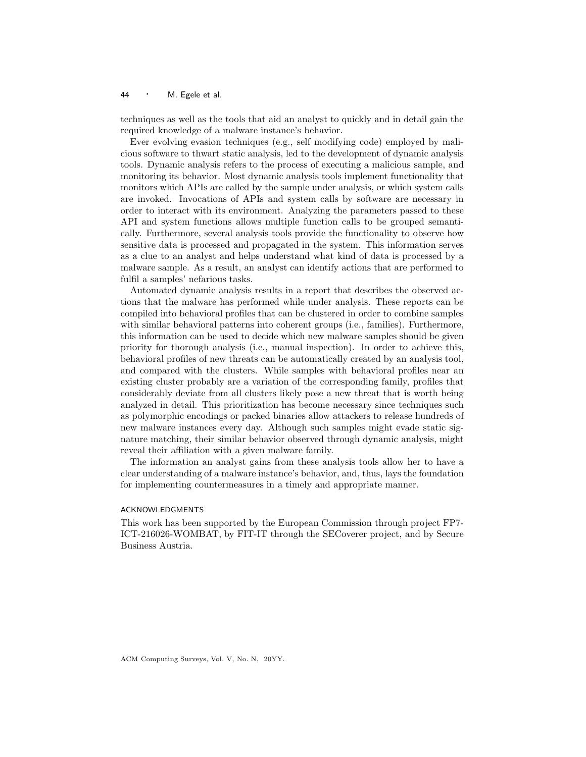techniques as well as the tools that aid an analyst to quickly and in detail gain the required knowledge of a malware instance's behavior.

Ever evolving evasion techniques (e.g., self modifying code) employed by malicious software to thwart static analysis, led to the development of dynamic analysis tools. Dynamic analysis refers to the process of executing a malicious sample, and monitoring its behavior. Most dynamic analysis tools implement functionality that monitors which APIs are called by the sample under analysis, or which system calls are invoked. Invocations of APIs and system calls by software are necessary in order to interact with its environment. Analyzing the parameters passed to these API and system functions allows multiple function calls to be grouped semantically. Furthermore, several analysis tools provide the functionality to observe how sensitive data is processed and propagated in the system. This information serves as a clue to an analyst and helps understand what kind of data is processed by a malware sample. As a result, an analyst can identify actions that are performed to fulfil a samples' nefarious tasks.

Automated dynamic analysis results in a report that describes the observed actions that the malware has performed while under analysis. These reports can be compiled into behavioral profiles that can be clustered in order to combine samples with similar behavioral patterns into coherent groups (i.e., families). Furthermore, this information can be used to decide which new malware samples should be given priority for thorough analysis (i.e., manual inspection). In order to achieve this, behavioral profiles of new threats can be automatically created by an analysis tool, and compared with the clusters. While samples with behavioral profiles near an existing cluster probably are a variation of the corresponding family, profiles that considerably deviate from all clusters likely pose a new threat that is worth being analyzed in detail. This prioritization has become necessary since techniques such as polymorphic encodings or packed binaries allow attackers to release hundreds of new malware instances every day. Although such samples might evade static signature matching, their similar behavior observed through dynamic analysis, might reveal their affiliation with a given malware family.

The information an analyst gains from these analysis tools allow her to have a clear understanding of a malware instance's behavior, and, thus, lays the foundation for implementing countermeasures in a timely and appropriate manner.

## ACKNOWLEDGMENTS

This work has been supported by the European Commission through project FP7- ICT-216026-WOMBAT, by FIT-IT through the SECoverer project, and by Secure Business Austria.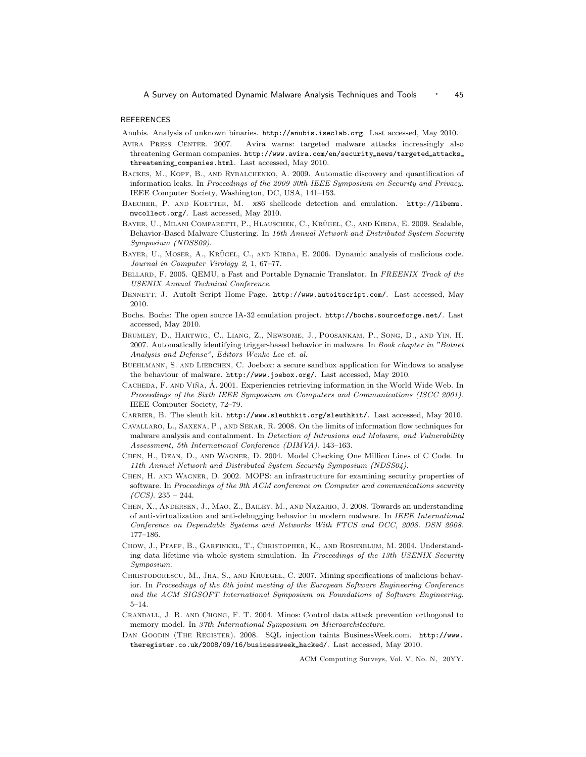#### **REFERENCES**

Anubis. Analysis of unknown binaries. http://anubis.iseclab.org. Last accessed, May 2010.

- Avira Press Center. 2007. Avira warns: targeted malware attacks increasingly also threatening German companies. http://www.avira.com/en/security news/targeted attacks threatening companies.html. Last accessed, May 2010.
- BACKES, M., KOPF, B., AND RYBALCHENKO, A. 2009. Automatic discovery and quantification of information leaks. In *Proceedings of the 2009 30th IEEE Symposium on Security and Privacy*. IEEE Computer Society, Washington, DC, USA, 141–153.
- BAECHER, P. AND KOETTER, M. x86 shellcode detection and emulation. http://libemu. mwcollect.org/. Last accessed, May 2010.
- BAYER, U., MILANI COMPARETTI, P., HLAUSCHEK, C., KRÜGEL, C., AND KIRDA, E. 2009. Scalable, Behavior-Based Malware Clustering. In *16th Annual Network and Distributed System Security Symposium (NDSS09)*.
- BAYER, U., MOSER, A., KRÜGEL, C., AND KIRDA, E. 2006. Dynamic analysis of malicious code. *Journal in Computer Virology 2,* 1, 67–77.
- Bellard, F. 2005. QEMU, a Fast and Portable Dynamic Translator. In *FREENIX Track of the USENIX Annual Technical Conference*.
- Bennett, J. AutoIt Script Home Page. http://www.autoitscript.com/. Last accessed, May 2010.
- Bochs. Bochs: The open source IA-32 emulation project. http://bochs.sourceforge.net/. Last accessed, May 2010.
- Brumley, D., Hartwig, C., Liang, Z., Newsome, J., Poosankam, P., Song, D., and Yin, H. 2007. Automatically identifying trigger-based behavior in malware. In *Book chapter in "Botnet Analysis and Defense", Editors Wenke Lee et. al.*
- BUEHLMANN, S. AND LIEBCHEN, C. Joebox: a secure sandbox application for Windows to analyse the behaviour of malware. http://www.joebox.org/. Last accessed, May 2010.
- CACHEDA, F. AND VIÑA, Á. 2001. Experiencies retrieving information in the World Wide Web. In *Proceedings of the Sixth IEEE Symposium on Computers and Communications (ISCC 2001)*. IEEE Computer Society, 72–79.
- CARRIER, B. The sleuth kit. http://www.sleuthkit.org/sleuthkit/. Last accessed, May 2010.
- Cavallaro, L., Saxena, P., and Sekar, R. 2008. On the limits of information flow techniques for malware analysis and containment. In *Detection of Intrusions and Malware, and Vulnerability Assessment, 5th International Conference (DIMVA)*. 143–163.
- Chen, H., Dean, D., and Wagner, D. 2004. Model Checking One Million Lines of C Code. In *11th Annual Network and Distributed System Security Symposium (NDSS04)*.
- Chen, H. and Wagner, D. 2002. MOPS: an infrastructure for examining security properties of software. In *Proceedings of the 9th ACM conference on Computer and communications security (CCS)*. 235 – 244.
- Chen, X., Andersen, J., Mao, Z., Bailey, M., and Nazario, J. 2008. Towards an understanding of anti-virtualization and anti-debugging behavior in modern malware. In *IEEE International Conference on Dependable Systems and Networks With FTCS and DCC, 2008. DSN 2008*. 177–186.
- Chow, J., Pfaff, B., Garfinkel, T., Christopher, K., and Rosenblum, M. 2004. Understanding data lifetime via whole system simulation. In *Proceedings of the 13th USENIX Security Symposium*.
- CHRISTODORESCU, M., JHA, S., AND KRUEGEL, C. 2007. Mining specifications of malicious behavior. In *Proceedings of the 6th joint meeting of the European Software Engineering Conference and the ACM SIGSOFT International Symposium on Foundations of Software Engineering*. 5–14.
- Crandall, J. R. and Chong, F. T. 2004. Minos: Control data attack prevention orthogonal to memory model. In *37th International Symposium on Microarchitecture*.
- Dan Goodin (The Register). 2008. SQL injection taints BusinessWeek.com. http://www. theregister.co.uk/2008/09/16/businessweek hacked/. Last accessed, May 2010.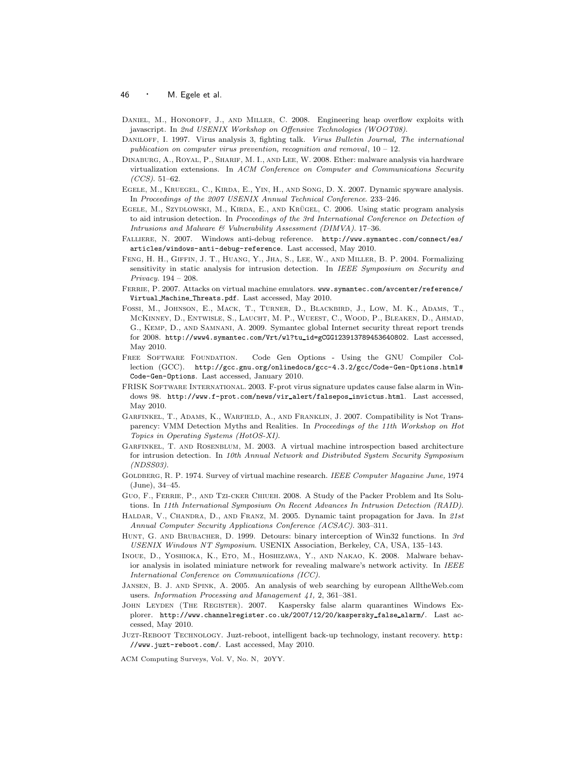- DANIEL, M., HONOROFF, J., AND MILLER, C. 2008. Engineering heap overflow exploits with javascript. In *2nd USENIX Workshop on Offensive Technologies (WOOT08)*.
- Daniloff, I. 1997. Virus analysis 3, fighting talk. *Virus Bulletin Journal, The international publication on computer virus prevention, recognition and removal*, 10 – 12.
- Dinaburg, A., Royal, P., Sharif, M. I., and Lee, W. 2008. Ether: malware analysis via hardware virtualization extensions. In *ACM Conference on Computer and Communications Security (CCS)*. 51–62.
- Egele, M., Kruegel, C., Kirda, E., Yin, H., and Song, D. X. 2007. Dynamic spyware analysis. In *Proceedings of the 2007 USENIX Annual Technical Conference*. 233–246.
- EGELE, M., SZYDLOWSKI, M., KIRDA, E., AND KRÜGEL, C. 2006. Using static program analysis to aid intrusion detection. In *Proceedings of the 3rd International Conference on Detection of Intrusions and Malware & Vulnerability Assessment (DIMVA)*. 17–36.
- Falliere, N. 2007. Windows anti-debug reference. http://www.symantec.com/connect/es/ articles/windows-anti-debug-reference. Last accessed, May 2010.
- Feng, H. H., Giffin, J. T., Huang, Y., Jha, S., Lee, W., and Miller, B. P. 2004. Formalizing sensitivity in static analysis for intrusion detection. In *IEEE Symposium on Security and Privacy*. 194 – 208.
- Ferrie, P. 2007. Attacks on virtual machine emulators. www.symantec.com/avcenter/reference/ Virtual Machine Threats.pdf. Last accessed, May 2010.
- Fossi, M., Johnson, E., Mack, T., Turner, D., Blackbird, J., Low, M. K., Adams, T., McKinney, D., Entwisle, S., Laucht, M. P., Wueest, C., Wood, P., Bleaken, D., Ahmad, G., Kemp, D., and Samnani, A. 2009. Symantec global Internet security threat report trends for 2008. http://www4.symantec.com/Vrt/wl?tu id=gCGG123913789453640802. Last accessed, May 2010.
- FREE SOFTWARE FOUNDATION. Code Gen Options Using the GNU Compiler Collection (GCC). http://gcc.gnu.org/onlinedocs/gcc-4.3.2/gcc/Code-Gen-Options.html# Code-Gen-Options. Last accessed, January 2010.
- FRISK SOFTWARE INTERNATIONAL. 2003. F-prot virus signature updates cause false alarm in Windows 98. http://www.f-prot.com/news/vir alert/falsepos invictus.html. Last accessed, May 2010.
- Garfinkel, T., Adams, K., Warfield, A., and Franklin, J. 2007. Compatibility is Not Transparency: VMM Detection Myths and Realities. In *Proceedings of the 11th Workshop on Hot Topics in Operating Systems (HotOS-XI)*.
- Garfinkel, T. and Rosenblum, M. 2003. A virtual machine introspection based architecture for intrusion detection. In *10th Annual Network and Distributed System Security Symposium (NDSS03)*.
- Goldberg, R. P. 1974. Survey of virtual machine research. *IEEE Computer Magazine June,* 1974 (June), 34–45.
- Guo, F., Ferrie, P., and Tzi-cker Chiueh. 2008. A Study of the Packer Problem and Its Solutions. In *11th International Symposium On Recent Advances In Intrusion Detection (RAID)*.
- Haldar, V., Chandra, D., and Franz, M. 2005. Dynamic taint propagation for Java. In *21st Annual Computer Security Applications Conference (ACSAC)*. 303–311.
- Hunt, G. and Brubacher, D. 1999. Detours: binary interception of Win32 functions. In *3rd USENIX Windows NT Symposium*. USENIX Association, Berkeley, CA, USA, 135–143.
- Inoue, D., Yoshioka, K., Eto, M., Hoshizawa, Y., and Nakao, K. 2008. Malware behavior analysis in isolated miniature network for revealing malware's network activity. In *IEEE International Conference on Communications (ICC)*.
- Jansen, B. J. and Spink, A. 2005. An analysis of web searching by european AlltheWeb.com users. *Information Processing and Management 41,* 2, 361–381.
- JOHN LEYDEN (THE REGISTER). 2007. Kaspersky false alarm quarantines Windows Explorer. http://www.channelregister.co.uk/2007/12/20/kaspersky false alarm/. Last accessed, May 2010.
- Juzt-Reboot Technology. Juzt-reboot, intelligent back-up technology, instant recovery. http: //www.juzt-reboot.com/. Last accessed, May 2010.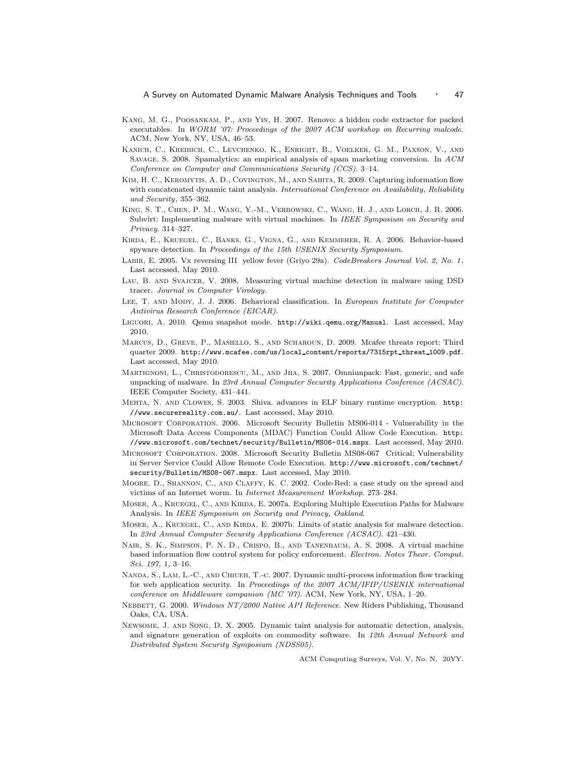- Kang, M. G., Poosankam, P., and Yin, H. 2007. Renovo: a hidden code extractor for packed executables. In *WORM '07: Proceedings of the 2007 ACM workshop on Recurring malcode*. ACM, New York, NY, USA, 46–53.
- Kanich, C., Kreibich, C., Levchenko, K., Enright, B., Voelker, G. M., Paxson, V., and Savage, S. 2008. Spamalytics: an empirical analysis of spam marketing conversion. In *ACM Conference on Computer and Communications Security (CCS)*. 3–14.
- KIM, H. C., KEROMYTIS, A. D., COVINGTON, M., AND SAHITA, R. 2009. Capturing information flow with concatenated dynamic taint analysis. *International Conference on Availability, Reliability and Security*, 355–362.
- King, S. T., Chen, P. M., Wang, Y.-M., Verbowski, C., Wang, H. J., and Lorch, J. R. 2006. Subvirt: Implementing malware with virtual machines. In *IEEE Symposium on Security and Privacy*. 314–327.
- Kirda, E., Kruegel, C., Banks, G., Vigna, G., and Kemmerer, R. A. 2006. Behavior-based spyware detection. In *Proceedings of the 15th USENIX Security Symposium*.
- Labir, E. 2005. Vx reversing III yellow fever (Griyo 29a). *CodeBreakers Journal Vol. 2, No. 1*. Last accessed, May 2010.
- Lau, B. and Svajcer, V. 2008. Measuring virtual machine detection in malware using DSD tracer. *Journal in Computer Virology*.
- Lee, T. and Mody, J. J. 2006. Behavioral classification. In *European Institute for Computer Antivirus Research Conference (EICAR)*.
- Liguori, A. 2010. Qemu snapshot mode. http://wiki.qemu.org/Manual. Last accessed, May 2010.
- Marcus, D., Greve, P., Masiello, S., and Scharoun, D. 2009. Mcafee threats report: Third quarter 2009. http://www.mcafee.com/us/local content/reports/7315rpt threat 1009.pdf. Last accessed, May 2010.
- MARTIGNONI, L., CHRISTODORESCU, M., AND JHA, S. 2007. Omniunpack: Fast, generic, and safe unpacking of malware. In *23rd Annual Computer Security Applications Conference (ACSAC)*. IEEE Computer Society, 431–441.
- Mehta, N. and Clowes, S. 2003. Shiva. advances in ELF binary runtime encryption. http: //www.securereality.com.au/. Last accessed, May 2010.
- Microsoft Corporation. 2006. Microsoft Security Bulletin MS06-014 Vulnerability in the Microsoft Data Access Components (MDAC) Function Could Allow Code Execution. http: //www.microsoft.com/technet/security/Bulletin/MS06-014.mspx. Last accessed, May 2010.
- Microsoft Corporation. 2008. Microsoft Security Bulletin MS08-067 Critical; Vulnerability in Server Service Could Allow Remote Code Execution. http://www.microsoft.com/technet/ security/Bulletin/MS08-067.mspx. Last accessed, May 2010.
- Moore, D., Shannon, C., and Claffy, K. C. 2002. Code-Red: a case study on the spread and victims of an Internet worm. In *Internet Measurement Workshop*. 273–284.
- Moser, A., Kruegel, C., and Kirda, E. 2007a. Exploring Multiple Execution Paths for Malware Analysis. In *IEEE Symposium on Security and Privacy, Oakland*.
- Moser, A., Kruegel, C., and Kirda, E. 2007b. Limits of static analysis for malware detection. In *23rd Annual Computer Security Applications Conference (ACSAC)*. 421–430.
- Nair, S. K., Simpson, P. N. D., Crispo, B., and Tanenbaum, A. S. 2008. A virtual machine based information flow control system for policy enforcement. *Electron. Notes Theor. Comput. Sci. 197,* 1, 3–16.
- Nanda, S., Lam, L.-C., and Chiueh, T.-c. 2007. Dynamic multi-process information flow tracking for web application security. In *Proceedings of the 2007 ACM/IFIP/USENIX international conference on Middleware companion (MC '07)*. ACM, New York, NY, USA, 1–20.
- Nebbett, G. 2000. *Windows NT/2000 Native API Reference*. New Riders Publishing, Thousand Oaks, CA, USA.
- Newsome, J. and Song, D. X. 2005. Dynamic taint analysis for automatic detection, analysis, and signature generation of exploits on commodity software. In *12th Annual Network and Distributed System Security Symposium (NDSS05)*.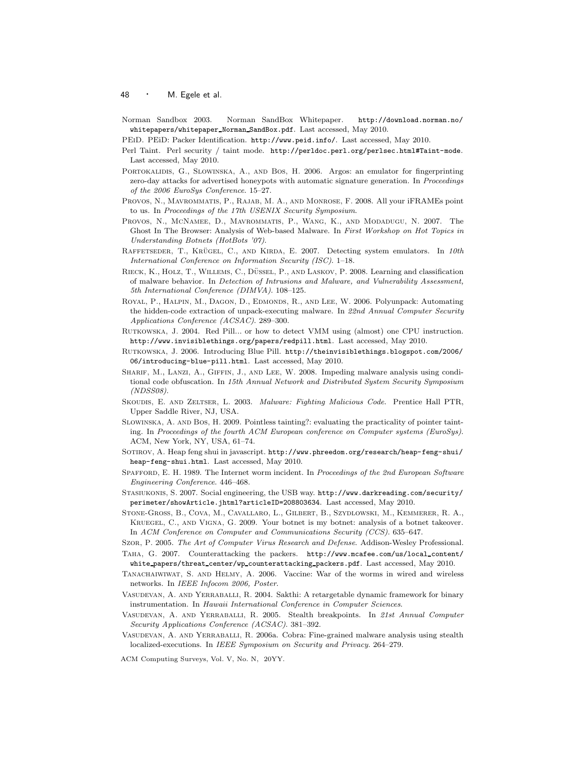- Norman Sandbox 2003. Norman SandBox Whitepaper. http://download.norman.no/ whitepapers/whitepaper Norman SandBox.pdf. Last accessed, May 2010.
- PEiD. PEiD: Packer Identification. http://www.peid.info/. Last accessed, May 2010.
- Perl Taint. Perl security / taint mode. http://perldoc.perl.org/perlsec.html#Taint-mode. Last accessed, May 2010.
- PORTOKALIDIS, G., SLOWINSKA, A., AND BOS, H. 2006. Argos: an emulator for fingerprinting zero-day attacks for advertised honeypots with automatic signature generation. In *Proceedings of the 2006 EuroSys Conference*. 15–27.
- Provos, N., Mavrommatis, P., Rajab, M. A., and Monrose, F. 2008. All your iFRAMEs point to us. In *Proceedings of the 17th USENIX Security Symposium*.
- Provos, N., McNamee, D., Mavrommatis, P., Wang, K., and Modadugu, N. 2007. The Ghost In The Browser: Analysis of Web-based Malware. In *First Workshop on Hot Topics in Understanding Botnets (HotBots '07)*.
- RAFFETSEDER, T., KRÜGEL, C., AND KIRDA, E. 2007. Detecting system emulators. In 10th *International Conference on Information Security (ISC)*. 1–18.
- RIECK, K., HOLZ, T., WILLEMS, C., DÜSSEL, P., AND LASKOV, P. 2008. Learning and classification of malware behavior. In *Detection of Intrusions and Malware, and Vulnerability Assessment, 5th International Conference (DIMVA)*. 108–125.
- Royal, P., Halpin, M., Dagon, D., Edmonds, R., and Lee, W. 2006. Polyunpack: Automating the hidden-code extraction of unpack-executing malware. In *22nd Annual Computer Security Applications Conference (ACSAC)*. 289–300.
- RUTKOWSKA, J. 2004. Red Pill... or how to detect VMM using (almost) one CPU instruction. http://www.invisiblethings.org/papers/redpill.html. Last accessed, May 2010.
- Rutkowska, J. 2006. Introducing Blue Pill. http://theinvisiblethings.blogspot.com/2006/ 06/introducing-blue-pill.html. Last accessed, May 2010.
- SHARIF, M., LANZI, A., GIFFIN, J., AND LEE, W. 2008. Impeding malware analysis using conditional code obfuscation. In *15th Annual Network and Distributed System Security Symposium (NDSS08)*.
- Skoudis, E. and Zeltser, L. 2003. *Malware: Fighting Malicious Code*. Prentice Hall PTR, Upper Saddle River, NJ, USA.
- Slowinska, A. and Bos, H. 2009. Pointless tainting?: evaluating the practicality of pointer tainting. In *Proceedings of the fourth ACM European conference on Computer systems (EuroSys)*. ACM, New York, NY, USA, 61–74.
- Sotirov, A. Heap feng shui in javascript. http://www.phreedom.org/research/heap-feng-shui/ heap-feng-shui.html. Last accessed, May 2010.
- Spafford, E. H. 1989. The Internet worm incident. In *Proceedings of the 2nd European Software Engineering Conference*. 446–468.
- Stasiukonis, S. 2007. Social engineering, the USB way. http://www.darkreading.com/security/ perimeter/showArticle.jhtml?articleID=208803634. Last accessed, May 2010.
- Stone-Gross, B., Cova, M., Cavallaro, L., Gilbert, B., Szydlowski, M., Kemmerer, R. A., Kruegel, C., and Vigna, G. 2009. Your botnet is my botnet: analysis of a botnet takeover. In *ACM Conference on Computer and Communications Security (CCS)*. 635–647.
- Szor, P. 2005. *The Art of Computer Virus Research and Defense*. Addison-Wesley Professional.
- Taha, G. 2007. Counterattacking the packers. http://www.mcafee.com/us/local content/ white papers/threat center/wp counterattacking packers.pdf. Last accessed, May 2010.
- TANACHAIWIWAT, S. AND HELMY, A. 2006. Vaccine: War of the worms in wired and wireless networks. In *IEEE Infocom 2006, Poster*.
- Vasudevan, A. and Yerraballi, R. 2004. Sakthi: A retargetable dynamic framework for binary instrumentation. In *Hawaii International Conference in Computer Sciences*.
- Vasudevan, A. and Yerraballi, R. 2005. Stealth breakpoints. In *21st Annual Computer Security Applications Conference (ACSAC)*. 381–392.
- Vasudevan, A. and Yerraballi, R. 2006a. Cobra: Fine-grained malware analysis using stealth localized-executions. In *IEEE Symposium on Security and Privacy*. 264–279.